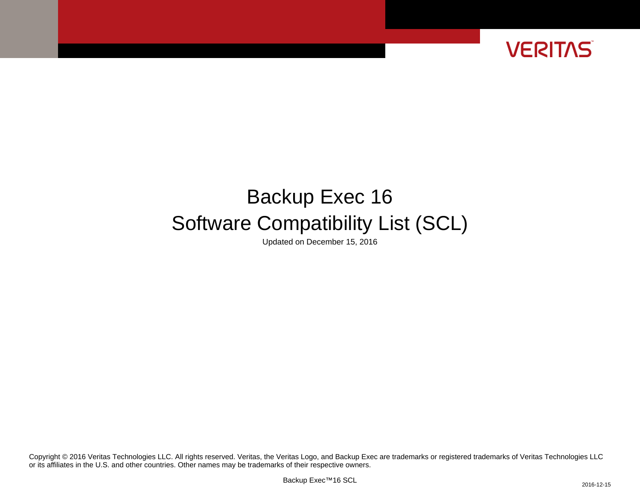

# Backup Exec 16 Software Compatibility List (SCL)

Updated on December 15, 2016

or its affiliates in the U.S. and other countries. Other names may be trademarks of their respective owners. Copyright © 2016 Veritas Technologies LLC. All rights reserved. Veritas, the Veritas Logo, and Backup Exec are trademarks or registered trademarks of Veritas Technologies LLC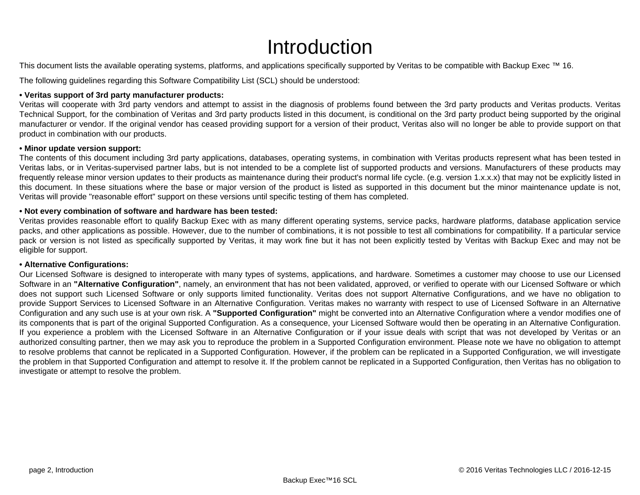# Introduction

This document lists the available operating systems, platforms, and applications specifically supported by Veritas to be compatible with Backup Exec ™ 16.

The following guidelines regarding this Software Compatibility List (SCL) should be understood:

#### **• Veritas support of 3rd party manufacturer products:**

Veritas will cooperate with 3rd party vendors and attempt to assist in the diagnosis of problems found between the 3rd party products and Veritas products. Veritas Technical Support, for the combination of Veritas and 3rd party products listed in this document, is conditional on the 3rd party product being supported by the original manufacturer or vendor. If the original vendor has ceased providing support for a version of their product, Veritas also will no longer be able to provide support on that product in combination with our products.

#### **• Minor update version support:**

The contents of this document including 3rd party applications, databases, operating systems, in combination with Veritas products represent what has been tested in Veritas labs, or in Veritas-supervised partner labs, but is not intended to be a complete list of supported products and versions. Manufacturers of these products may frequently release minor version updates to their products as maintenance during their product's normal life cycle. (e.g. version 1.x.x.x) that may not be explicitly listed in this document. In these situations where the base or major version of the product is listed as supported in this document but the minor maintenance update is not, Veritas will provide "reasonable effort" support on these versions until specific testing of them has completed.

### **• Not every combination of software and hardware has been tested:**

Veritas provides reasonable effort to qualify Backup Exec with as many different operating systems, service packs, hardware platforms, database application service packs, and other applications as possible. However, due to the number of combinations, it is not possible to test all combinations for compatibility. If a particular service pack or version is not listed as specifically supported by Veritas, it may work fine but it has not been explicitly tested by Veritas with Backup Exec and may not be eligible for support.

#### **• Alternative Configurations:**

Our Licensed Software is designed to interoperate with many types of systems, applications, and hardware. Sometimes a customer may choose to use our Licensed Software in an **"Alternative Configuration"**, namely, an environment that has not been validated, approved, or verified to operate with our Licensed Software or which does not support such Licensed Software or only supports limited functionality. Veritas does not support Alternative Configurations, and we have no obligation to provide Support Services to Licensed Software in an Alternative Configuration. Veritas makes no warranty with respect to use of Licensed Software in an Alternative Configuration and any such use is at your own risk. A **"Supported Configuration"** might be converted into an Alternative Configuration where a vendor modifies one of its components that is part of the original Supported Configuration. As a consequence, your Licensed Software would then be operating in an Alternative Configuration. If you experience a problem with the Licensed Software in an Alternative Configuration or if your issue deals with script that was not developed by Veritas or an authorized consulting partner, then we may ask you to reproduce the problem in a Supported Configuration environment. Please note we have no obligation to attempt to resolve problems that cannot be replicated in a Supported Configuration. However, if the problem can be replicated in a Supported Configuration, we will investigate the problem in that Supported Configuration and attempt to resolve it. If the problem cannot be replicated in a Supported Configuration, then Veritas has no obligation to investigate or attempt to resolve the problem.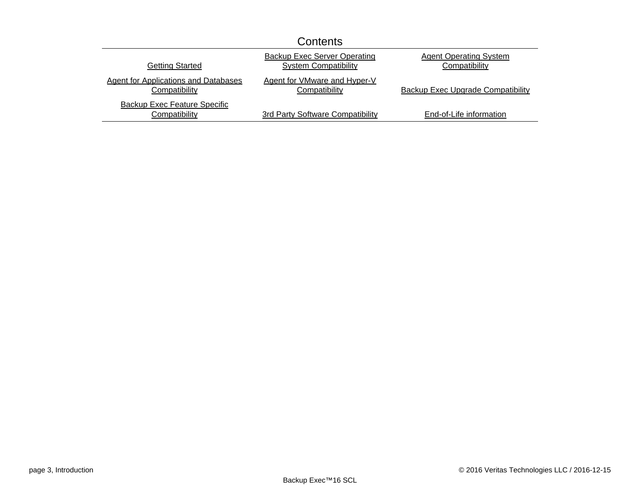|                                                              | Contents                                                           |                                                |
|--------------------------------------------------------------|--------------------------------------------------------------------|------------------------------------------------|
| <b>Getting Started</b>                                       | <b>Backup Exec Server Operating</b><br><b>System Compatibility</b> | <b>Agent Operating System</b><br>Compatibility |
| <b>Agent for Applications and Databases</b><br>Compatibility | Agent for VMware and Hyper-V<br>Compatibility                      | <b>Backup Exec Upgrade Compatibility</b>       |
| <b>Backup Exec Feature Specific</b><br>Compatibility         | 3rd Party Software Compatibility                                   | End-of-Life information                        |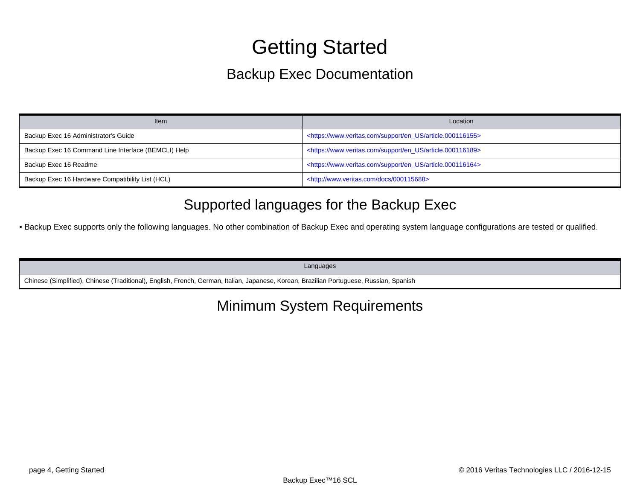# Getting Started

# Backup Exec Documentation

<span id="page-3-0"></span>

| <b>Item</b>                                         | Location                                                                      |
|-----------------------------------------------------|-------------------------------------------------------------------------------|
| Backup Exec 16 Administrator's Guide                | <https: article.000116155="" en_us="" support="" www.veritas.com=""></https:> |
| Backup Exec 16 Command Line Interface (BEMCLI) Help | <https: article.000116189="" en_us="" support="" www.veritas.com=""></https:> |
| Backup Exec 16 Readme                               | <https: article.000116164="" en_us="" support="" www.veritas.com=""></https:> |
| Backup Exec 16 Hardware Compatibility List (HCL)    | <http: 000115688="" docs="" www.veritas.com=""></http:>                       |

# Supported languages for the Backup Exec

• Backup Exec supports only the following languages. No other combination of Backup Exec and operating system language configurations are tested or qualified.

Languages

Chinese (Simplified), Chinese (Traditional), English, French, German, Italian, Japanese, Korean, Brazilian Portuguese, Russian, Spanish

# Minimum System Requirements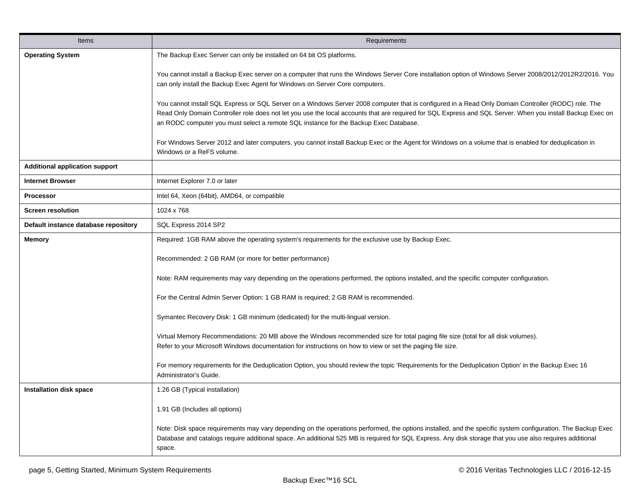| <b>Items</b>                          | Requirements                                                                                                                                                                                                                                                                                                                                                                                              |
|---------------------------------------|-----------------------------------------------------------------------------------------------------------------------------------------------------------------------------------------------------------------------------------------------------------------------------------------------------------------------------------------------------------------------------------------------------------|
| <b>Operating System</b>               | The Backup Exec Server can only be installed on 64 bit OS platforms.                                                                                                                                                                                                                                                                                                                                      |
|                                       | You cannot install a Backup Exec server on a computer that runs the Windows Server Core installation option of Windows Server 2008/2012/2012R2/2016. You<br>can only install the Backup Exec Agent for Windows on Server Core computers.                                                                                                                                                                  |
|                                       | You cannot install SQL Express or SQL Server on a Windows Server 2008 computer that is configured in a Read Only Domain Controller (RODC) role. The<br>Read Only Domain Controller role does not let you use the local accounts that are required for SQL Express and SQL Server. When you install Backup Exec on<br>an RODC computer you must select a remote SQL instance for the Backup Exec Database. |
|                                       | For Windows Server 2012 and later computers, you cannot install Backup Exec or the Agent for Windows on a volume that is enabled for deduplication in<br>Windows or a ReFS volume.                                                                                                                                                                                                                        |
| <b>Additional application support</b> |                                                                                                                                                                                                                                                                                                                                                                                                           |
| <b>Internet Browser</b>               | Internet Explorer 7.0 or later                                                                                                                                                                                                                                                                                                                                                                            |
| <b>Processor</b>                      | Intel 64, Xeon (64bit), AMD64, or compatible                                                                                                                                                                                                                                                                                                                                                              |
| <b>Screen resolution</b>              | 1024 x 768                                                                                                                                                                                                                                                                                                                                                                                                |
| Default instance database repository  | SQL Express 2014 SP2                                                                                                                                                                                                                                                                                                                                                                                      |
| <b>Memory</b>                         | Required: 1GB RAM above the operating system's requirements for the exclusive use by Backup Exec.                                                                                                                                                                                                                                                                                                         |
|                                       | Recommended: 2 GB RAM (or more for better performance)                                                                                                                                                                                                                                                                                                                                                    |
|                                       | Note: RAM requirements may vary depending on the operations performed, the options installed, and the specific computer configuration.                                                                                                                                                                                                                                                                    |
|                                       | For the Central Admin Server Option: 1 GB RAM is required; 2 GB RAM is recommended.                                                                                                                                                                                                                                                                                                                       |
|                                       | Symantec Recovery Disk: 1 GB minimum (dedicated) for the multi-lingual version.                                                                                                                                                                                                                                                                                                                           |
|                                       | Virtual Memory Recommendations: 20 MB above the Windows recommended size for total paging file size (total for all disk volumes).<br>Refer to your Microsoft Windows documentation for instructions on how to view or set the paging file size.                                                                                                                                                           |
|                                       | For memory requirements for the Deduplication Option, you should review the topic 'Requirements for the Deduplication Option' in the Backup Exec 16<br>Administrator's Guide.                                                                                                                                                                                                                             |
| <b>Installation disk space</b>        | 1.26 GB (Typical installation)                                                                                                                                                                                                                                                                                                                                                                            |
|                                       | 1.91 GB (Includes all options)                                                                                                                                                                                                                                                                                                                                                                            |
|                                       | Note: Disk space requirements may vary depending on the operations performed, the options installed, and the specific system configuration. The Backup Exec<br>Database and catalogs require additional space. An additional 525 MB is required for SQL Express. Any disk storage that you use also requires additional<br>space.                                                                         |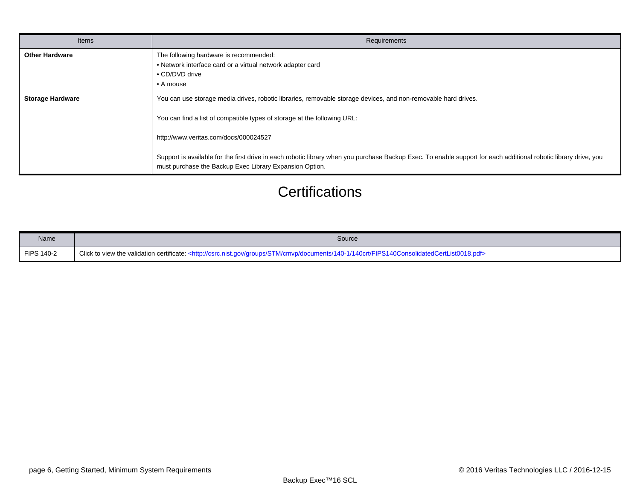| Items                   | <b>Requirements</b>                                                                                                                                                                                                                                                                                                                                                                                                                                                |
|-------------------------|--------------------------------------------------------------------------------------------------------------------------------------------------------------------------------------------------------------------------------------------------------------------------------------------------------------------------------------------------------------------------------------------------------------------------------------------------------------------|
| <b>Other Hardware</b>   | The following hardware is recommended:<br>• Network interface card or a virtual network adapter card<br>• CD/DVD drive<br>• A mouse                                                                                                                                                                                                                                                                                                                                |
| <b>Storage Hardware</b> | You can use storage media drives, robotic libraries, removable storage devices, and non-removable hard drives.<br>You can find a list of compatible types of storage at the following URL:<br>http://www.veritas.com/docs/000024527<br>Support is available for the first drive in each robotic library when you purchase Backup Exec. To enable support for each additional robotic library drive, you<br>must purchase the Backup Exec Library Expansion Option. |

# **Certifications**

| Name              | Source                                                                                                                                                                     |
|-------------------|----------------------------------------------------------------------------------------------------------------------------------------------------------------------------|
| <b>FIPS 140-2</b> | Click to view the validation certificate: <http: 140-1="" 140crt="" cmvp="" csrc.nist.gov="" documents="" fips140consolidatedcertlist0018.pdf="" groups="" stm=""></http:> |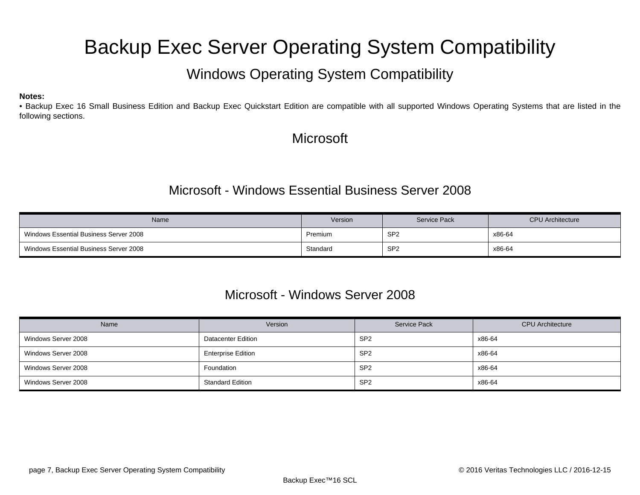# <span id="page-6-0"></span>Backup Exec Server Operating System Compatibility

# Windows Operating System Compatibility

#### **Notes:**

• Backup Exec 16 Small Business Edition and Backup Exec Quickstart Edition are compatible with all supported Windows Operating Systems that are listed in the following sections.

## **Microsoft**

### Microsoft - Windows Essential Business Server 2008

| <b>Name</b>                            | Version  | <b>Service Pack</b> | <b>CPU Architecture</b> |
|----------------------------------------|----------|---------------------|-------------------------|
| Windows Essential Business Server 2008 | Premium  | SP <sub>2</sub>     | x86-64                  |
| Windows Essential Business Server 2008 | Standard | SP <sub>2</sub>     | x86-64                  |

### Microsoft - Windows Server 2008

| Name                | Version                   | Service Pack    | <b>CPU</b> Architecture |
|---------------------|---------------------------|-----------------|-------------------------|
| Windows Server 2008 | <b>Datacenter Edition</b> | SP <sub>2</sub> | x86-64                  |
| Windows Server 2008 | <b>Enterprise Edition</b> | SP <sub>2</sub> | x86-64                  |
| Windows Server 2008 | Foundation                | SP <sub>2</sub> | x86-64                  |
| Windows Server 2008 | <b>Standard Edition</b>   | SP <sub>2</sub> | x86-64                  |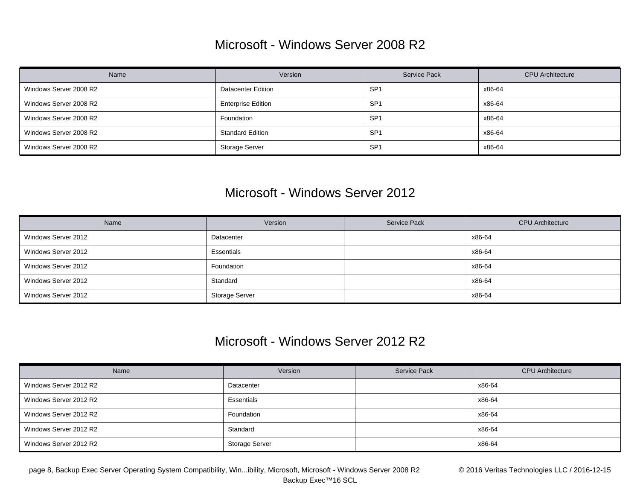## Microsoft - Windows Server 2008 R2

| Name                   | Version                   | Service Pack    | <b>CPU</b> Architecture |
|------------------------|---------------------------|-----------------|-------------------------|
| Windows Server 2008 R2 | <b>Datacenter Edition</b> | SP <sub>1</sub> | x86-64                  |
| Windows Server 2008 R2 | <b>Enterprise Edition</b> | SP <sub>1</sub> | x86-64                  |
| Windows Server 2008 R2 | Foundation                | SP <sub>1</sub> | x86-64                  |
| Windows Server 2008 R2 | <b>Standard Edition</b>   | SP <sub>1</sub> | x86-64                  |
| Windows Server 2008 R2 | <b>Storage Server</b>     | SP <sub>1</sub> | x86-64                  |

### Microsoft - Windows Server 2012

| Name                | Version        | Service Pack | <b>CPU</b> Architecture |
|---------------------|----------------|--------------|-------------------------|
| Windows Server 2012 | Datacenter     |              | x86-64                  |
| Windows Server 2012 | Essentials     |              | x86-64                  |
| Windows Server 2012 | Foundation     |              | x86-64                  |
| Windows Server 2012 | Standard       |              | x86-64                  |
| Windows Server 2012 | Storage Server |              | x86-64                  |

### Microsoft - Windows Server 2012 R2

| Name                   | Version               | Service Pack | <b>CPU</b> Architecture |
|------------------------|-----------------------|--------------|-------------------------|
| Windows Server 2012 R2 | Datacenter            |              | x86-64                  |
| Windows Server 2012 R2 | Essentials            |              | x86-64                  |
| Windows Server 2012 R2 | Foundation            |              | x86-64                  |
| Windows Server 2012 R2 | Standard              |              | x86-64                  |
| Windows Server 2012 R2 | <b>Storage Server</b> |              | x86-64                  |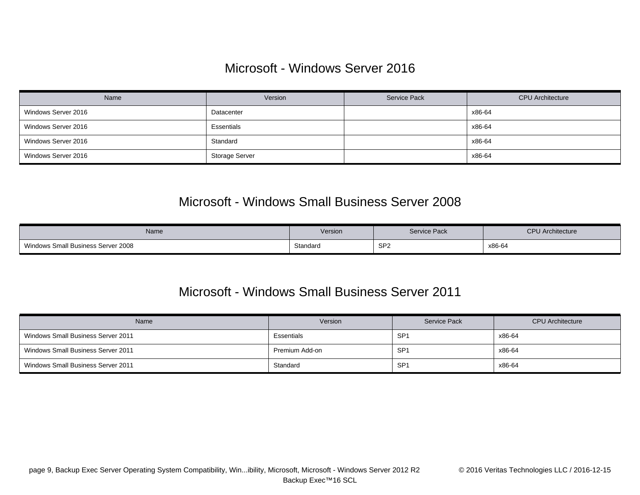### Microsoft - Windows Server 2016

| Name                | Version        | Service Pack | <b>CPU</b> Architecture |
|---------------------|----------------|--------------|-------------------------|
| Windows Server 2016 | Datacenter     |              | x86-64                  |
| Windows Server 2016 | Essentials     |              | x86-64                  |
| Windows Server 2016 | Standard       |              | x86-64                  |
| Windows Server 2016 | Storage Server |              | x86-64                  |

### Microsoft - Windows Small Business Server 2008

| Name                               | Version  | Service Pack    | <b>CPU</b> Architecture |
|------------------------------------|----------|-----------------|-------------------------|
| Windows Small Business Server 2008 | Standard | SP <sub>2</sub> | x86-64                  |

### Microsoft - Windows Small Business Server 2011

| <b>Name</b>                        | Version        | <b>Service Pack</b> | <b>CPU</b> Architecture |
|------------------------------------|----------------|---------------------|-------------------------|
| Windows Small Business Server 2011 | Essentials     | <b>SP</b><br>ິ      | x86-64                  |
| Windows Small Business Server 2011 | Premium Add-on | SP <sup>.</sup>     | x86-64                  |
| Windows Small Business Server 2011 | Standard       | SP <sup>-</sup>     | x86-64                  |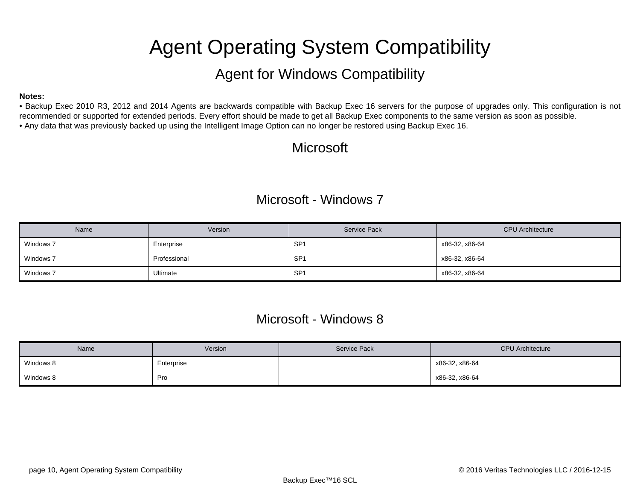# Agent Operating System Compatibility

## Agent for Windows Compatibility

#### <span id="page-9-0"></span>**Notes:**

• Backup Exec 2010 R3, 2012 and 2014 Agents are backwards compatible with Backup Exec 16 servers for the purpose of upgrades only. This configuration is not recommended or supported for extended periods. Every effort should be made to get all Backup Exec components to the same version as soon as possible. • Any data that was previously backed up using the Intelligent Image Option can no longer be restored using Backup Exec 16.

# Microsoft

### Microsoft - Windows 7

| Name      | Version      | Service Pack    | <b>CPU</b> Architecture |
|-----------|--------------|-----------------|-------------------------|
| Windows 7 | Enterprise   | SP <sup>-</sup> | x86-32, x86-64          |
| Windows 7 | Professional | SP <sup>-</sup> | x86-32, x86-64          |
| Windows 7 | Ultimate     | SP <sup>-</sup> | x86-32, x86-64          |

### Microsoft - Windows 8

| Name      | Version    | <b>Service Pack</b> | <b>CPU Architecture</b> |
|-----------|------------|---------------------|-------------------------|
| Windows 8 | Enterprise |                     | x86-32, x86-64          |
| Windows 8 | Pro        |                     | x86-32, x86-64          |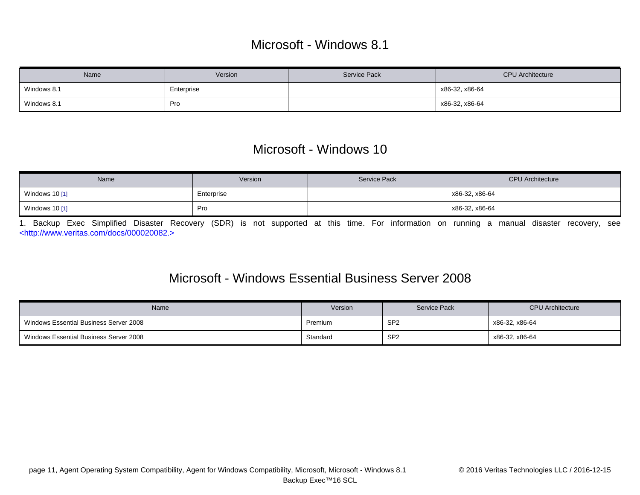## Microsoft - Windows 8.1

| Name        | Version    | <b>Service Pack</b> | <b>CPU</b> Architecture |
|-------------|------------|---------------------|-------------------------|
| Windows 8.1 | Enterprise |                     | x86-32, x86-64          |
| Windows 8.1 | Pro        |                     | x86-32, x86-64          |

### Microsoft - Windows 10

| Name           | Version    | Service Pack | <b>CPU</b> Architecture |
|----------------|------------|--------------|-------------------------|
| Windows 10 [1] | Enterprise |              | x86-32, x86-64          |
| Windows 10 [1] | Pro        |              | x86-32, x86-64          |

<span id="page-10-0"></span>1. Backup Exec Simplified Disaster Recovery (SDR) is not supported at this time. For information on running a manual disaster recovery, see [<http://www.veritas.com/docs/000020082.>](http://www.veritas.com/docs/000020082.)

### Microsoft - Windows Essential Business Server 2008

| Name                                   | Version  | <b>Service Pack</b> | <b>CPU</b> Architecture |
|----------------------------------------|----------|---------------------|-------------------------|
| Windows Essential Business Server 2008 | Premium  | SP <sub>2</sub>     | x86-32, x86-64          |
| Windows Essential Business Server 2008 | Standard | SP <sub>2</sub>     | x86-32, x86-64          |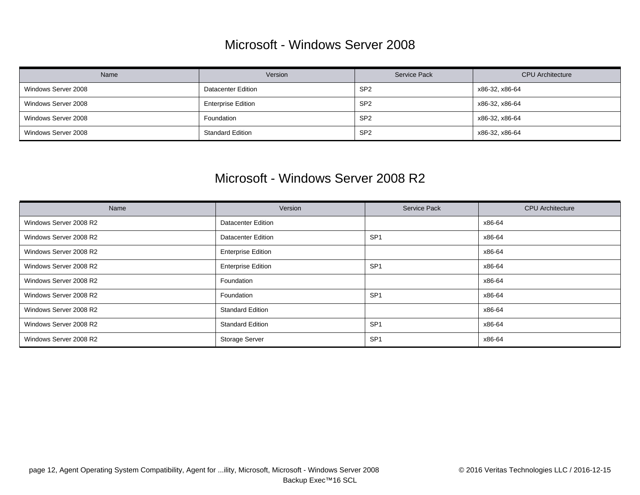### Microsoft - Windows Server 2008

| Name                | Version                   | Service Pack    | <b>CPU</b> Architecture |
|---------------------|---------------------------|-----------------|-------------------------|
| Windows Server 2008 | <b>Datacenter Edition</b> | SP <sub>2</sub> | x86-32, x86-64          |
| Windows Server 2008 | <b>Enterprise Edition</b> | SP <sub>2</sub> | x86-32, x86-64          |
| Windows Server 2008 | Foundation                | SP <sub>2</sub> | x86-32, x86-64          |
| Windows Server 2008 | <b>Standard Edition</b>   | SP <sub>2</sub> | x86-32, x86-64          |

### Microsoft - Windows Server 2008 R2

| Name                   | Version                   | Service Pack    | <b>CPU</b> Architecture |
|------------------------|---------------------------|-----------------|-------------------------|
| Windows Server 2008 R2 | <b>Datacenter Edition</b> |                 | x86-64                  |
| Windows Server 2008 R2 | <b>Datacenter Edition</b> | SP <sub>1</sub> | x86-64                  |
| Windows Server 2008 R2 | <b>Enterprise Edition</b> |                 | x86-64                  |
| Windows Server 2008 R2 | <b>Enterprise Edition</b> | SP <sub>1</sub> | x86-64                  |
| Windows Server 2008 R2 | Foundation                |                 | x86-64                  |
| Windows Server 2008 R2 | Foundation                | SP <sub>1</sub> | x86-64                  |
| Windows Server 2008 R2 | <b>Standard Edition</b>   |                 | x86-64                  |
| Windows Server 2008 R2 | <b>Standard Edition</b>   | SP <sub>1</sub> | x86-64                  |
| Windows Server 2008 R2 | <b>Storage Server</b>     | SP <sub>1</sub> | x86-64                  |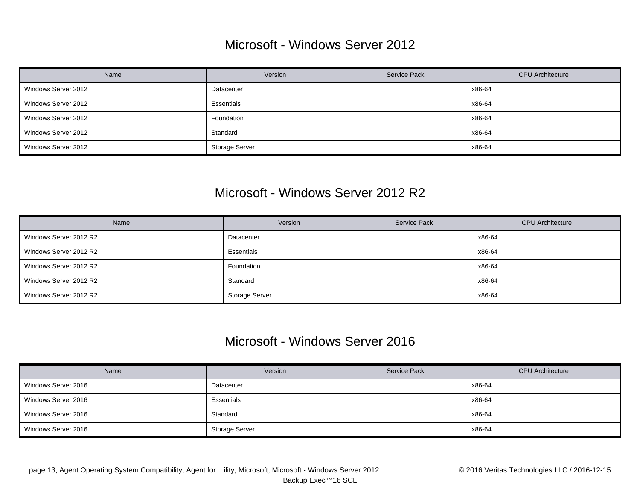### Microsoft - Windows Server 2012

| Name                | Version               | Service Pack | <b>CPU</b> Architecture |
|---------------------|-----------------------|--------------|-------------------------|
| Windows Server 2012 | Datacenter            |              | x86-64                  |
| Windows Server 2012 | Essentials            |              | x86-64                  |
| Windows Server 2012 | Foundation            |              | x86-64                  |
| Windows Server 2012 | Standard              |              | x86-64                  |
| Windows Server 2012 | <b>Storage Server</b> |              | x86-64                  |

### Microsoft - Windows Server 2012 R2

| Name                   | Version        | Service Pack | <b>CPU</b> Architecture |
|------------------------|----------------|--------------|-------------------------|
| Windows Server 2012 R2 | Datacenter     |              | x86-64                  |
| Windows Server 2012 R2 | Essentials     |              | x86-64                  |
| Windows Server 2012 R2 | Foundation     |              | x86-64                  |
| Windows Server 2012 R2 | Standard       |              | x86-64                  |
| Windows Server 2012 R2 | Storage Server |              | x86-64                  |

### Microsoft - Windows Server 2016

| Name                | Version        | <b>Service Pack</b> | <b>CPU</b> Architecture |
|---------------------|----------------|---------------------|-------------------------|
| Windows Server 2016 | Datacenter     |                     | x86-64                  |
| Windows Server 2016 | Essentials     |                     | x86-64                  |
| Windows Server 2016 | Standard       |                     | x86-64                  |
| Windows Server 2016 | Storage Server |                     | x86-64                  |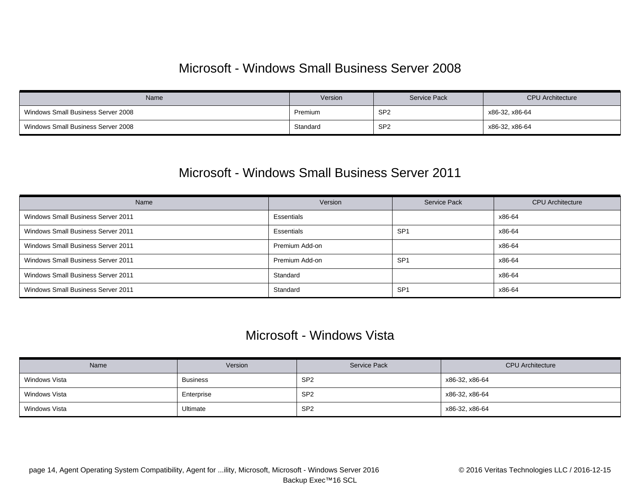### Microsoft - Windows Small Business Server 2008

| Name                               | Version  | Service Pack    | <b>CPU Architecture</b> |
|------------------------------------|----------|-----------------|-------------------------|
| Windows Small Business Server 2008 | Premium  | SP <sub>2</sub> | x86-32, x86-64          |
| Windows Small Business Server 2008 | Standard | SP <sub>2</sub> | x86-32, x86-64          |

### Microsoft - Windows Small Business Server 2011

| Name                               | Version        | <b>Service Pack</b> | <b>CPU</b> Architecture |
|------------------------------------|----------------|---------------------|-------------------------|
| Windows Small Business Server 2011 | Essentials     |                     | x86-64                  |
| Windows Small Business Server 2011 | Essentials     | SP <sub>1</sub>     | x86-64                  |
| Windows Small Business Server 2011 | Premium Add-on |                     | x86-64                  |
| Windows Small Business Server 2011 | Premium Add-on | SP <sub>1</sub>     | x86-64                  |
| Windows Small Business Server 2011 | Standard       |                     | x86-64                  |
| Windows Small Business Server 2011 | Standard       | SP <sub>1</sub>     | x86-64                  |

### Microsoft - Windows Vista

| Name          | Version         | Service Pack    | <b>CPU</b> Architecture |
|---------------|-----------------|-----------------|-------------------------|
| Windows Vista | <b>Business</b> | SP <sub>2</sub> | x86-32, x86-64          |
| Windows Vista | Enterprise      | SP <sub>2</sub> | x86-32, x86-64          |
| Windows Vista | Ultimate        | SP <sub>2</sub> | x86-32, x86-64          |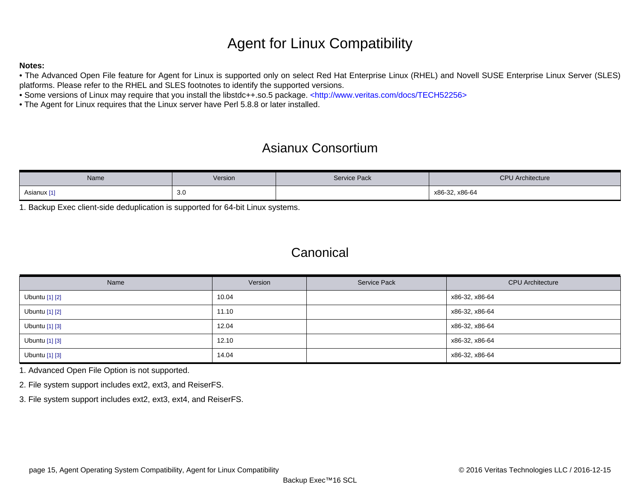# Agent for Linux Compatibility

### **Notes:**

• The Advanced Open File feature for Agent for Linux is supported only on select Red Hat Enterprise Linux (RHEL) and Novell SUSE Enterprise Linux Server (SLES) platforms. Please refer to the RHEL and SLES footnotes to identify the supported versions.

• Some versions of Linux may require that you install the libstdc++.so.5 package. [<http://www.veritas.com/docs/TECH52256>](http://www.veritas.com/docs/TECH52256)

• The Agent for Linux requires that the Linux server have Perl 5.8.8 or later installed.

# Asianux Consortium

| Name        | Version | <b>Service Pack</b> | <b>CPU</b> Architecture |
|-------------|---------|---------------------|-------------------------|
| Asianux [1] | 3.0     |                     | x86-32, x86-64          |

<span id="page-14-0"></span>1. Backup Exec client-side deduplication is supported for 64-bit Linux systems.

### Canonical

| Name           | Version | <b>Service Pack</b> | <b>CPU</b> Architecture |
|----------------|---------|---------------------|-------------------------|
| Ubuntu [1] [2] | 10.04   |                     | x86-32, x86-64          |
| Ubuntu [1] [2] | 11.10   |                     | x86-32, x86-64          |
| Ubuntu [1] [3] | 12.04   |                     | x86-32, x86-64          |
| Ubuntu [1] [3] | 12.10   |                     | x86-32, x86-64          |
| Ubuntu [1] [3] | 14.04   |                     | x86-32, x86-64          |

<span id="page-14-1"></span>1. Advanced Open File Option is not supported.

<span id="page-14-2"></span>2. File system support includes ext2, ext3, and ReiserFS.

<span id="page-14-3"></span>3. File system support includes ext2, ext3, ext4, and ReiserFS.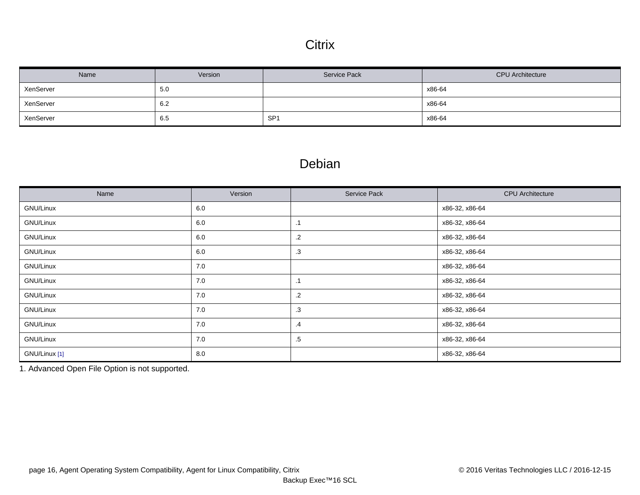### **Citrix**

| Name      | Version | <b>Service Pack</b> | <b>CPU</b> Architecture |
|-----------|---------|---------------------|-------------------------|
| XenServer | 5.0     |                     | x86-64                  |
| XenServer | 6.2     |                     | x86-64                  |
| XenServer | 6.5     | SP <sub>1</sub>     | x86-64                  |

### Debian

| Name          | Version | Service Pack  | <b>CPU</b> Architecture |
|---------------|---------|---------------|-------------------------|
| GNU/Linux     | 6.0     |               | x86-32, x86-64          |
| GNU/Linux     | 6.0     | $\cdot$ 1     | x86-32, x86-64          |
| GNU/Linux     | 6.0     | $\cdot$ .2    | x86-32, x86-64          |
| GNU/Linux     | 6.0     | .3            | x86-32, x86-64          |
| GNU/Linux     | 7.0     |               | x86-32, x86-64          |
| GNU/Linux     | 7.0     | $\cdot$ 1     | x86-32, x86-64          |
| GNU/Linux     | 7.0     | $\cdot$ .2    | x86-32, x86-64          |
| GNU/Linux     | 7.0     | .3            | x86-32, x86-64          |
| GNU/Linux     | 7.0     | $\mathcal{A}$ | x86-32, x86-64          |
| GNU/Linux     | 7.0     | .5            | x86-32, x86-64          |
| GNU/Linux [1] | 8.0     |               | x86-32, x86-64          |

<span id="page-15-0"></span>1. Advanced Open File Option is not supported.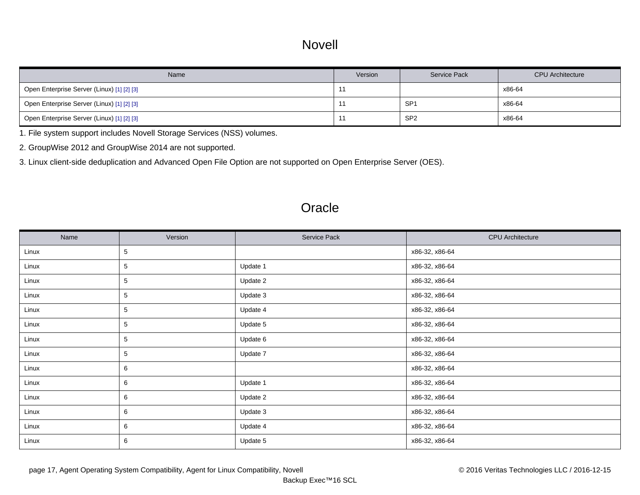### Novell

| Name                                       | Version | Service Pack    | <b>CPU</b> Architecture |
|--------------------------------------------|---------|-----------------|-------------------------|
| Open Enterprise Server (Linux) [1] [2] [3] |         |                 | x86-64                  |
| Open Enterprise Server (Linux) [1] [2] [3] |         | SP <sup>-</sup> | x86-64                  |
| Open Enterprise Server (Linux) [1] [2] [3] | . .     | SP <sub>2</sub> | x86-64                  |

<span id="page-16-0"></span>1. File system support includes Novell Storage Services (NSS) volumes.

<span id="page-16-1"></span>2. GroupWise 2012 and GroupWise 2014 are not supported.

<span id="page-16-2"></span>3. Linux client-side deduplication and Advanced Open File Option are not supported on Open Enterprise Server (OES).

### **Oracle**

| Name  | Version | Service Pack | <b>CPU</b> Architecture |
|-------|---------|--------------|-------------------------|
| Linux | 5       |              | x86-32, x86-64          |
| Linux | 5       | Update 1     | x86-32, x86-64          |
| Linux | 5       | Update 2     | x86-32, x86-64          |
| Linux | 5       | Update 3     | x86-32, x86-64          |
| Linux | 5       | Update 4     | x86-32, x86-64          |
| Linux | 5       | Update 5     | x86-32, x86-64          |
| Linux | 5       | Update 6     | x86-32, x86-64          |
| Linux | 5       | Update 7     | x86-32, x86-64          |
| Linux | 6       |              | x86-32, x86-64          |
| Linux | 6       | Update 1     | x86-32, x86-64          |
| Linux | 6       | Update 2     | x86-32, x86-64          |
| Linux | 6       | Update 3     | x86-32, x86-64          |
| Linux | 6       | Update 4     | x86-32, x86-64          |
| Linux | 6       | Update 5     | x86-32, x86-64          |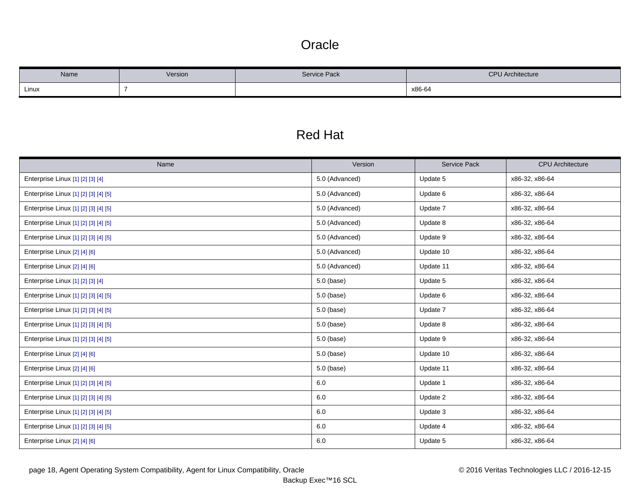### **Oracle**

| Name  | Version | <b>Service Pack</b> | <b>CPU</b> Architecture |
|-------|---------|---------------------|-------------------------|
| Linux |         |                     | x86-64                  |

# Red Hat

| Name                                 | Version        | <b>Service Pack</b> | <b>CPU</b> Architecture |
|--------------------------------------|----------------|---------------------|-------------------------|
| Enterprise Linux [1] [2] [3] [4]     | 5.0 (Advanced) | Update 5            | x86-32, x86-64          |
| Enterprise Linux [1] [2] [3] [4] [5] | 5.0 (Advanced) | Update 6            | x86-32, x86-64          |
| Enterprise Linux [1] [2] [3] [4] [5] | 5.0 (Advanced) | Update 7            | x86-32, x86-64          |
| Enterprise Linux [1] [2] [3] [4] [5] | 5.0 (Advanced) | Update 8            | x86-32, x86-64          |
| Enterprise Linux [1] [2] [3] [4] [5] | 5.0 (Advanced) | Update 9            | x86-32, x86-64          |
| Enterprise Linux [2] [4] [6]         | 5.0 (Advanced) | Update 10           | x86-32, x86-64          |
| Enterprise Linux [2] [4] [6]         | 5.0 (Advanced) | Update 11           | x86-32, x86-64          |
| Enterprise Linux [1] [2] [3] [4]     | 5.0 (base)     | Update 5            | x86-32, x86-64          |
| Enterprise Linux [1] [2] [3] [4] [5] | 5.0 (base)     | Update 6            | x86-32, x86-64          |
| Enterprise Linux [1] [2] [3] [4] [5] | 5.0 (base)     | Update 7            | x86-32, x86-64          |
| Enterprise Linux [1] [2] [3] [4] [5] | $5.0$ (base)   | Update 8            | x86-32, x86-64          |
| Enterprise Linux [1] [2] [3] [4] [5] | 5.0 (base)     | Update 9            | x86-32, x86-64          |
| Enterprise Linux [2] [4] [6]         | 5.0 (base)     | Update 10           | x86-32, x86-64          |
| Enterprise Linux [2] [4] [6]         | 5.0 (base)     | Update 11           | x86-32, x86-64          |
| Enterprise Linux [1] [2] [3] [4] [5] | 6.0            | Update 1            | x86-32, x86-64          |
| Enterprise Linux [1] [2] [3] [4] [5] | $6.0\,$        | Update 2            | x86-32, x86-64          |
| Enterprise Linux [1] [2] [3] [4] [5] | $6.0\,$        | Update 3            | x86-32, x86-64          |
| Enterprise Linux [1] [2] [3] [4] [5] | 6.0            | Update 4            | x86-32, x86-64          |
| Enterprise Linux [2] [4] [6]         | 6.0            | Update 5            | x86-32, x86-64          |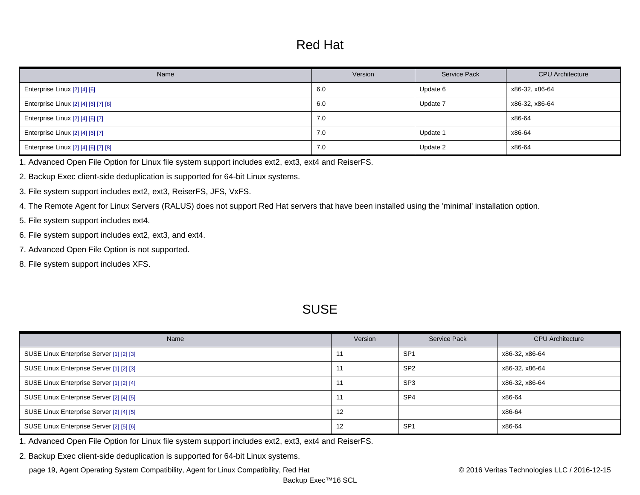## Red Hat

| Name                                 | Version | <b>Service Pack</b> | <b>CPU</b> Architecture |
|--------------------------------------|---------|---------------------|-------------------------|
| Enterprise Linux [2] [4] [6]         | 6.0     | Update 6            | x86-32, x86-64          |
| Enterprise Linux [2] [4] [6] [7] [8] | 6.0     | Update 7            | x86-32, x86-64          |
| Enterprise Linux [2] [4] [6] [7]     | 7.0     |                     | x86-64                  |
| Enterprise Linux [2] [4] [6] [7]     | 7.0     | Update 1            | x86-64                  |
| Enterprise Linux [2] [4] [6] [7] [8] | 7.0     | Update 2            | x86-64                  |

<span id="page-18-0"></span>1. Advanced Open File Option for Linux file system support includes ext2, ext3, ext4 and ReiserFS.

<span id="page-18-1"></span>2. Backup Exec client-side deduplication is supported for 64-bit Linux systems.

<span id="page-18-2"></span>3. File system support includes ext2, ext3, ReiserFS, JFS, VxFS.

<span id="page-18-3"></span>4. The Remote Agent for Linux Servers (RALUS) does not support Red Hat servers that have been installed using the 'minimal' installation option.

- <span id="page-18-4"></span>5. File system support includes ext4.
- <span id="page-18-5"></span>6. File system support includes ext2, ext3, and ext4.
- <span id="page-18-6"></span>7. Advanced Open File Option is not supported.
- <span id="page-18-7"></span>8. File system support includes XFS.

### **SUSE**

| Name                                     | Version | Service Pack    | <b>CPU</b> Architecture |
|------------------------------------------|---------|-----------------|-------------------------|
| SUSE Linux Enterprise Server [1] [2] [3] |         | SP <sub>1</sub> | x86-32, x86-64          |
| SUSE Linux Enterprise Server [1] [2] [3] |         | SP <sub>2</sub> | x86-32, x86-64          |
| SUSE Linux Enterprise Server [1] [2] [4] |         | SP <sub>3</sub> | x86-32, x86-64          |
| SUSE Linux Enterprise Server [2] [4] [5] |         | SP <sub>4</sub> | x86-64                  |
| SUSE Linux Enterprise Server [2] [4] [5] | 12      |                 | x86-64                  |
| SUSE Linux Enterprise Server [2] [5] [6] | 12      | SP <sub>1</sub> | x86-64                  |

<span id="page-18-8"></span>1. Advanced Open File Option for Linux file system support includes ext2, ext3, ext4 and ReiserFS.

<span id="page-18-9"></span>2. Backup Exec client-side deduplication is supported for 64-bit Linux systems.

page 19, Agent Operating System Compatibility, Agent for Linux Compatibility, Red Hat © 2016 Veritas Technologies LLC / 2016-12-15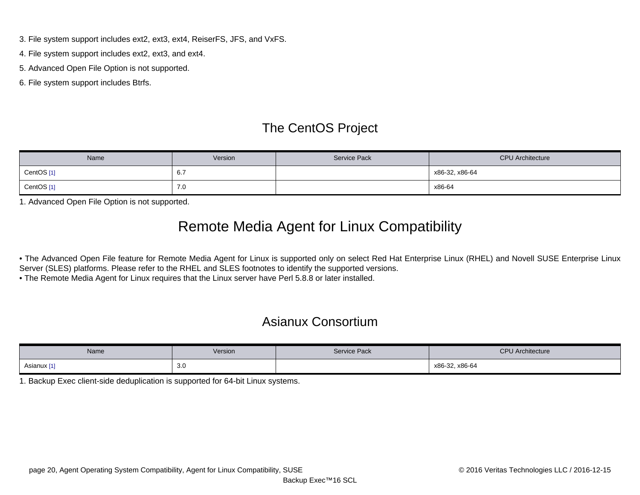- <span id="page-19-0"></span>3. File system support includes ext2, ext3, ext4, ReiserFS, JFS, and VxFS.
- <span id="page-19-1"></span>4. File system support includes ext2, ext3, and ext4.
- <span id="page-19-2"></span>5. Advanced Open File Option is not supported.
- <span id="page-19-3"></span>6. File system support includes Btrfs.

# The CentOS Project

| Name       | Version | <b>Service Pack</b> | <b>CPU</b> Architecture |
|------------|---------|---------------------|-------------------------|
| CentOS [1] | 6.7     |                     | x86-32, x86-64          |
| CentOS [1] | 7.0     |                     | x86-64                  |

<span id="page-19-4"></span>1. Advanced Open File Option is not supported.

# Remote Media Agent for Linux Compatibility

• The Advanced Open File feature for Remote Media Agent for Linux is supported only on select Red Hat Enterprise Linux (RHEL) and Novell SUSE Enterprise Linux Server (SLES) platforms. Please refer to the RHEL and SLES footnotes to identify the supported versions.

• The Remote Media Agent for Linux requires that the Linux server have Perl 5.8.8 or later installed.

## Asianux Consortium

| Name        | Version | <b>Service Pack</b> | <b>CPU</b> Architecture |
|-------------|---------|---------------------|-------------------------|
| Asianux [1] | 3.0     |                     | x86-32, x86-64          |

<span id="page-19-5"></span>1. Backup Exec client-side deduplication is supported for 64-bit Linux systems.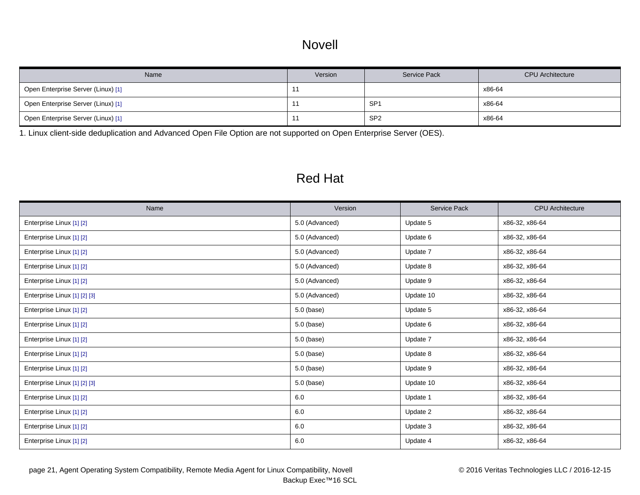### Novell

| Name                               | Version | <b>Service Pack</b> | <b>CPU</b> Architecture |
|------------------------------------|---------|---------------------|-------------------------|
| Open Enterprise Server (Linux) [1] |         |                     | x86-64                  |
| Open Enterprise Server (Linux) [1] |         | SP <sub>1</sub>     | x86-64                  |
| Open Enterprise Server (Linux) [1] |         | SP <sub>2</sub>     | x86-64                  |

<span id="page-20-0"></span>1. Linux client-side deduplication and Advanced Open File Option are not supported on Open Enterprise Server (OES).

## Red Hat

| Name                         | Version        | <b>Service Pack</b> | <b>CPU</b> Architecture |
|------------------------------|----------------|---------------------|-------------------------|
| Enterprise Linux [1] [2]     | 5.0 (Advanced) | Update 5            | x86-32, x86-64          |
| Enterprise Linux [1] [2]     | 5.0 (Advanced) | Update 6            | x86-32, x86-64          |
| Enterprise Linux [1] [2]     | 5.0 (Advanced) | Update 7            | x86-32, x86-64          |
| Enterprise Linux [1] [2]     | 5.0 (Advanced) | Update 8            | x86-32, x86-64          |
| Enterprise Linux [1] [2]     | 5.0 (Advanced) | Update 9            | x86-32, x86-64          |
| Enterprise Linux [1] [2] [3] | 5.0 (Advanced) | Update 10           | x86-32, x86-64          |
| Enterprise Linux [1] [2]     | 5.0 (base)     | Update 5            | x86-32, x86-64          |
| Enterprise Linux [1] [2]     | 5.0 (base)     | Update 6            | x86-32, x86-64          |
| Enterprise Linux [1] [2]     | 5.0 (base)     | Update 7            | x86-32, x86-64          |
| Enterprise Linux [1] [2]     | 5.0 (base)     | Update 8            | x86-32, x86-64          |
| Enterprise Linux [1] [2]     | 5.0 (base)     | Update 9            | x86-32, x86-64          |
| Enterprise Linux [1] [2] [3] | 5.0 (base)     | Update 10           | x86-32, x86-64          |
| Enterprise Linux [1] [2]     | 6.0            | Update 1            | x86-32, x86-64          |
| Enterprise Linux [1] [2]     | 6.0            | Update 2            | x86-32, x86-64          |
| Enterprise Linux [1] [2]     | 6.0            | Update 3            | x86-32, x86-64          |
| Enterprise Linux [1] [2]     | 6.0            | Update 4            | x86-32, x86-64          |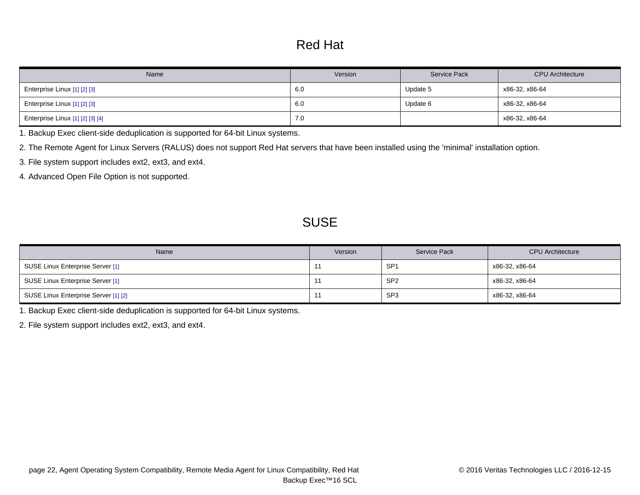# Red Hat

| Name                             | Version | Service Pack | <b>CPU</b> Architecture |
|----------------------------------|---------|--------------|-------------------------|
| Enterprise Linux [1] [2] [3]     | 6.0     | Update 5     | x86-32, x86-64          |
| Enterprise Linux [1] [2] [3]     | 6.0     | Update 6     | x86-32, x86-64          |
| Enterprise Linux [1] [2] [3] [4] | 7.0     |              | x86-32, x86-64          |

<span id="page-21-0"></span>1. Backup Exec client-side deduplication is supported for 64-bit Linux systems.

<span id="page-21-1"></span>2. The Remote Agent for Linux Servers (RALUS) does not support Red Hat servers that have been installed using the 'minimal' installation option.

<span id="page-21-2"></span>3. File system support includes ext2, ext3, and ext4.

<span id="page-21-3"></span>4. Advanced Open File Option is not supported.

## **SUSE**

| Name                                 | Version | <b>Service Pack</b> | <b>CPU</b> Architecture |
|--------------------------------------|---------|---------------------|-------------------------|
| SUSE Linux Enterprise Server [1]     |         | SP <sub>1</sub>     | x86-32, x86-64          |
| SUSE Linux Enterprise Server [1]     |         | SP <sub>2</sub>     | x86-32, x86-64          |
| SUSE Linux Enterprise Server [1] [2] |         | SP <sub>3</sub>     | x86-32, x86-64          |

<span id="page-21-4"></span>1. Backup Exec client-side deduplication is supported for 64-bit Linux systems.

<span id="page-21-5"></span>2. File system support includes ext2, ext3, and ext4.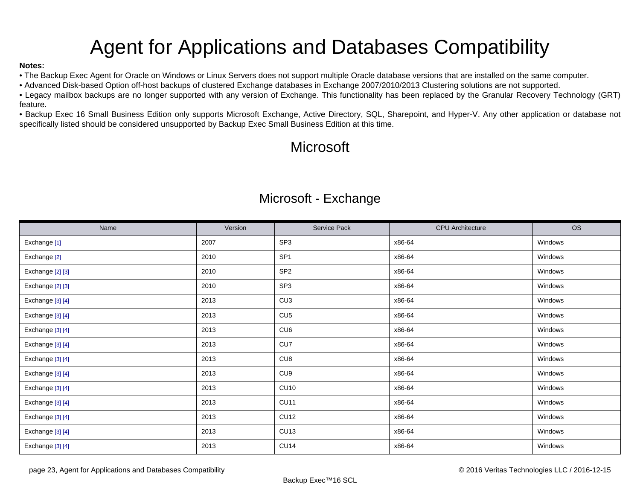# Agent for Applications and Databases Compatibility

### <span id="page-22-0"></span>**Notes:**

• The Backup Exec Agent for Oracle on Windows or Linux Servers does not support multiple Oracle database versions that are installed on the same computer.

• Advanced Disk-based Option off-host backups of clustered Exchange databases in Exchange 2007/2010/2013 Clustering solutions are not supported.

• Legacy mailbox backups are no longer supported with any version of Exchange. This functionality has been replaced by the Granular Recovery Technology (GRT) feature.

• Backup Exec 16 Small Business Edition only supports Microsoft Exchange, Active Directory, SQL, Sharepoint, and Hyper-V. Any other application or database not specifically listed should be considered unsupported by Backup Exec Small Business Edition at this time.

# Microsoft

### Microsoft - Exchange

| Name                    | Version | Service Pack    | <b>CPU</b> Architecture | <b>OS</b> |
|-------------------------|---------|-----------------|-------------------------|-----------|
| Exchange <sup>[1]</sup> | 2007    | SP <sub>3</sub> | x86-64                  | Windows   |
| Exchange [2]            | 2010    | SP <sub>1</sub> | x86-64                  | Windows   |
| Exchange [2] [3]        | 2010    | SP <sub>2</sub> | x86-64                  | Windows   |
| Exchange [2] [3]        | 2010    | SP <sub>3</sub> | x86-64                  | Windows   |
| Exchange [3] [4]        | 2013    | CU <sub>3</sub> | x86-64                  | Windows   |
| Exchange [3] [4]        | 2013    | CU5             | x86-64                  | Windows   |
| Exchange [3] [4]        | 2013    | CU <sub>6</sub> | x86-64                  | Windows   |
| Exchange [3] [4]        | 2013    | CU7             | x86-64                  | Windows   |
| Exchange [3] [4]        | 2013    | CU <sub>8</sub> | x86-64                  | Windows   |
| Exchange [3] [4]        | 2013    | CU <sub>9</sub> | x86-64                  | Windows   |
| Exchange [3] [4]        | 2013    | <b>CU10</b>     | x86-64                  | Windows   |
| Exchange [3] [4]        | 2013    | <b>CU11</b>     | x86-64                  | Windows   |
| Exchange [3] [4]        | 2013    | <b>CU12</b>     | x86-64                  | Windows   |
| Exchange [3] [4]        | 2013    | <b>CU13</b>     | x86-64                  | Windows   |
| Exchange [3] [4]        | 2013    | <b>CU14</b>     | x86-64                  | Windows   |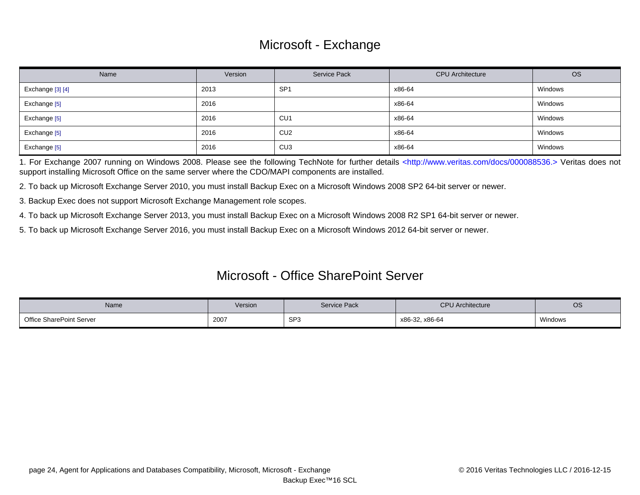## Microsoft - Exchange

| Name             | Version | <b>Service Pack</b> | <b>CPU</b> Architecture | <b>OS</b> |
|------------------|---------|---------------------|-------------------------|-----------|
| Exchange [3] [4] | 2013    | SP <sup>-</sup>     | x86-64                  | Windows   |
| Exchange [5]     | 2016    |                     | x86-64                  | Windows   |
| Exchange [5]     | 2016    | CU <sub>1</sub>     | x86-64                  | Windows   |
| Exchange [5]     | 2016    | CU <sub>2</sub>     | x86-64                  | Windows   |
| Exchange [5]     | 2016    | CU <sub>3</sub>     | x86-64                  | Windows   |

<span id="page-23-0"></span>1. For Exchange 2007 running on Windows 2008. Please see the following TechNote for further details [<http://www.veritas.com/docs/000088536.> V](http://www.veritas.com/docs/000088536.)eritas does not support installing Microsoft Office on the same server where the CDO/MAPI components are installed.

<span id="page-23-1"></span>2. To back up Microsoft Exchange Server 2010, you must install Backup Exec on a Microsoft Windows 2008 SP2 64-bit server or newer.

<span id="page-23-2"></span>3. Backup Exec does not support Microsoft Exchange Management role scopes.

<span id="page-23-3"></span>4. To back up Microsoft Exchange Server 2013, you must install Backup Exec on a Microsoft Windows 2008 R2 SP1 64-bit server or newer.

<span id="page-23-4"></span>5. To back up Microsoft Exchange Server 2016, you must install Backup Exec on a Microsoft Windows 2012 64-bit server or newer.

### Microsoft - Office SharePoint Server

| Name                            | Version | <b>Service Pack</b> | <b>CPU</b> Architecture | <b>OS</b> |
|---------------------------------|---------|---------------------|-------------------------|-----------|
| <b>Office SharePoint Server</b> | 2007    | SP <sub>3</sub>     | x86-32, x86-64          | Windows   |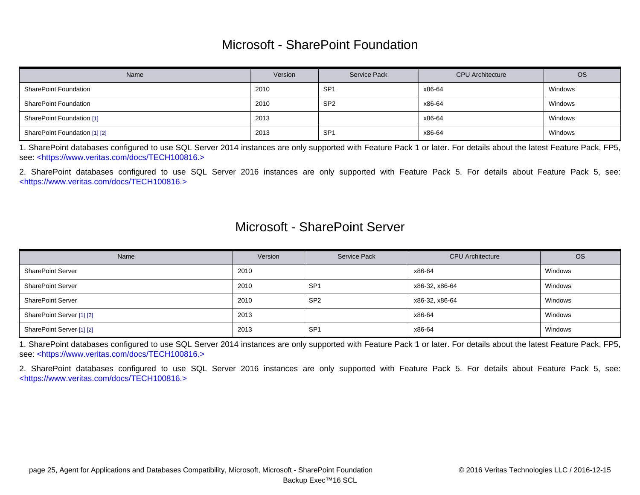### Microsoft - SharePoint Foundation

| Name                          | Version | <b>Service Pack</b> | <b>CPU</b> Architecture | <b>OS</b> |
|-------------------------------|---------|---------------------|-------------------------|-----------|
| <b>SharePoint Foundation</b>  | 2010    | SP <sub>1</sub>     | x86-64                  | Windows   |
| <b>SharePoint Foundation</b>  | 2010    | SP <sub>2</sub>     | x86-64                  | Windows   |
| SharePoint Foundation [1]     | 2013    |                     | x86-64                  | Windows   |
| SharePoint Foundation [1] [2] | 2013    | SP <sup>4</sup>     | x86-64                  | Windows   |

<span id="page-24-0"></span>1. SharePoint databases configured to use SQL Server 2014 instances are only supported with Feature Pack 1 or later. For details about the latest Feature Pack, FP5, see: [<https://www.veritas.com/docs/TECH100816.>](https://www.veritas.com/docs/TECH100816.)

<span id="page-24-1"></span>2. SharePoint databases configured to use SQL Server 2016 instances are only supported with Feature Pack 5. For details about Feature Pack 5, see: [<https://www.veritas.com/docs/TECH100816.>](https://www.veritas.com/docs/TECH100816.)

### Microsoft - SharePoint Server

| Name                      | Version | <b>Service Pack</b> | <b>CPU</b> Architecture | <b>OS</b> |
|---------------------------|---------|---------------------|-------------------------|-----------|
| <b>SharePoint Server</b>  | 2010    |                     | x86-64                  | Windows   |
| <b>SharePoint Server</b>  | 2010    | SP <sub>1</sub>     | x86-32, x86-64          | Windows   |
| <b>SharePoint Server</b>  | 2010    | SP <sub>2</sub>     | x86-32, x86-64          | Windows   |
| SharePoint Server [1] [2] | 2013    |                     | x86-64                  | Windows   |
| SharePoint Server [1] [2] | 2013    | SP <sub>1</sub>     | x86-64                  | Windows   |

<span id="page-24-2"></span>1. SharePoint databases configured to use SQL Server 2014 instances are only supported with Feature Pack 1 or later. For details about the latest Feature Pack, FP5, see: [<https://www.veritas.com/docs/TECH100816.>](https://www.veritas.com/docs/TECH100816.)

<span id="page-24-3"></span>2. SharePoint databases configured to use SQL Server 2016 instances are only supported with Feature Pack 5. For details about Feature Pack 5, see: [<https://www.veritas.com/docs/TECH100816.>](https://www.veritas.com/docs/TECH100816.)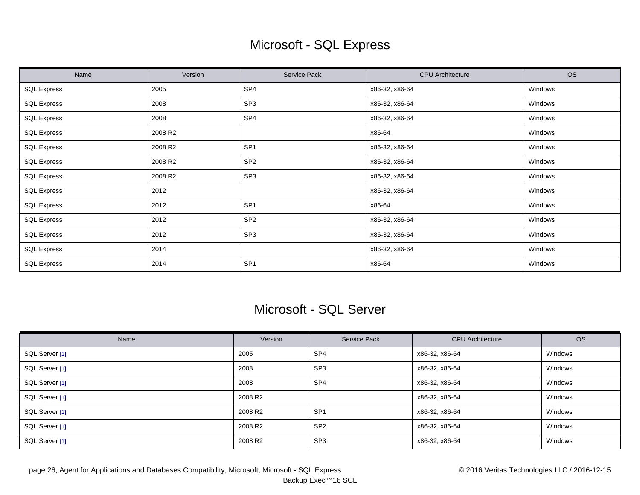# Microsoft - SQL Express

| Name               | Version | Service Pack    | <b>CPU</b> Architecture | <b>OS</b> |
|--------------------|---------|-----------------|-------------------------|-----------|
| <b>SQL Express</b> | 2005    | SP4             | x86-32, x86-64          | Windows   |
| <b>SQL Express</b> | 2008    | SP <sub>3</sub> | x86-32, x86-64          | Windows   |
| <b>SQL Express</b> | 2008    | SP4             | x86-32, x86-64          | Windows   |
| <b>SQL Express</b> | 2008 R2 |                 | x86-64                  | Windows   |
| <b>SQL Express</b> | 2008 R2 | SP <sub>1</sub> | x86-32, x86-64          | Windows   |
| <b>SQL Express</b> | 2008 R2 | SP <sub>2</sub> | x86-32, x86-64          | Windows   |
| <b>SQL Express</b> | 2008 R2 | SP <sub>3</sub> | x86-32, x86-64          | Windows   |
| <b>SQL Express</b> | 2012    |                 | x86-32, x86-64          | Windows   |
| <b>SQL Express</b> | 2012    | SP <sub>1</sub> | x86-64                  | Windows   |
| <b>SQL Express</b> | 2012    | SP <sub>2</sub> | x86-32, x86-64          | Windows   |
| <b>SQL Express</b> | 2012    | SP <sub>3</sub> | x86-32, x86-64          | Windows   |
| <b>SQL Express</b> | 2014    |                 | x86-32, x86-64          | Windows   |
| <b>SQL Express</b> | 2014    | SP <sub>1</sub> | x86-64                  | Windows   |

### Microsoft - SQL Server

| Name           | Version             | Service Pack    | <b>CPU</b> Architecture | <b>OS</b> |
|----------------|---------------------|-----------------|-------------------------|-----------|
| SQL Server [1] | 2005                | SP <sub>4</sub> | x86-32, x86-64          | Windows   |
| SQL Server [1] | 2008                | SP <sub>3</sub> | x86-32, x86-64          | Windows   |
| SQL Server [1] | 2008                | SP <sub>4</sub> | x86-32, x86-64          | Windows   |
| SQL Server [1] | 2008 R <sub>2</sub> |                 | x86-32, x86-64          | Windows   |
| SQL Server [1] | 2008 R <sub>2</sub> | SP <sub>1</sub> | x86-32, x86-64          | Windows   |
| SQL Server [1] | 2008 R <sub>2</sub> | SP <sub>2</sub> | x86-32, x86-64          | Windows   |
| SQL Server [1] | 2008 R2             | SP <sub>3</sub> | x86-32, x86-64          | Windows   |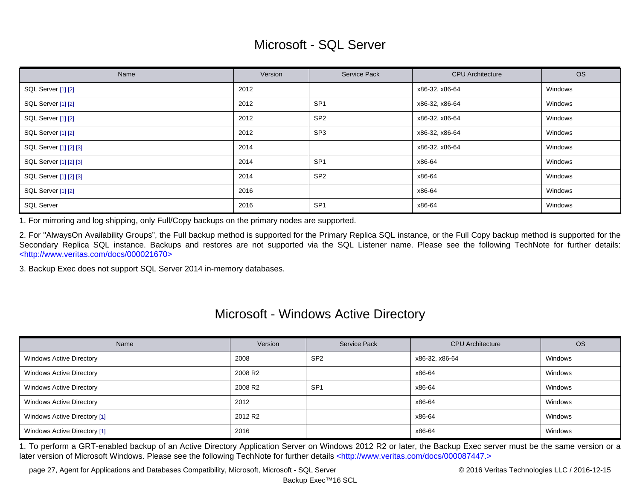## Microsoft - SQL Server

| Name                   | Version | <b>Service Pack</b> | <b>CPU</b> Architecture | <b>OS</b> |
|------------------------|---------|---------------------|-------------------------|-----------|
| SQL Server [1] [2]     | 2012    |                     | x86-32, x86-64          | Windows   |
| SQL Server [1] [2]     | 2012    | SP <sub>1</sub>     | x86-32, x86-64          | Windows   |
| SQL Server [1] [2]     | 2012    | SP <sub>2</sub>     | x86-32, x86-64          | Windows   |
| SQL Server [1] [2]     | 2012    | SP <sub>3</sub>     | x86-32, x86-64          | Windows   |
| SQL Server [1] [2] [3] | 2014    |                     | x86-32, x86-64          | Windows   |
| SQL Server [1] [2] [3] | 2014    | SP <sub>1</sub>     | x86-64                  | Windows   |
| SQL Server [1] [2] [3] | 2014    | SP <sub>2</sub>     | x86-64                  | Windows   |
| SQL Server [1] [2]     | 2016    |                     | x86-64                  | Windows   |
| <b>SQL Server</b>      | 2016    | SP <sub>1</sub>     | x86-64                  | Windows   |

<span id="page-26-0"></span>1. For mirroring and log shipping, only Full/Copy backups on the primary nodes are supported.

<span id="page-26-1"></span>2. For "AlwaysOn Availability Groups", the Full backup method is supported for the Primary Replica SQL instance, or the Full Copy backup method is supported for the Secondary Replica SQL instance. Backups and restores are not supported via the SQL Listener name. Please see the following TechNote for further details: [<http://www.veritas.com/docs/000021670>](http://www.veritas.com/docs/000021670)

<span id="page-26-2"></span>3. Backup Exec does not support SQL Server 2014 in-memory databases.

### Microsoft - Windows Active Directory

| Name                            | Version             | Service Pack    | <b>CPU</b> Architecture | <b>OS</b> |
|---------------------------------|---------------------|-----------------|-------------------------|-----------|
| <b>Windows Active Directory</b> | 2008                | SP <sub>2</sub> | x86-32, x86-64          | Windows   |
| <b>Windows Active Directory</b> | 2008 R <sub>2</sub> |                 | x86-64                  | Windows   |
| <b>Windows Active Directory</b> | 2008 R <sub>2</sub> | SP <sub>1</sub> | x86-64                  | Windows   |
| <b>Windows Active Directory</b> | 2012                |                 | x86-64                  | Windows   |
| Windows Active Directory [1]    | 2012 R <sub>2</sub> |                 | x86-64                  | Windows   |
| Windows Active Directory [1]    | 2016                |                 | x86-64                  | Windows   |

<span id="page-26-3"></span>1. To perform a GRT-enabled backup of an Active Directory Application Server on Windows 2012 R2 or later, the Backup Exec server must be the same version or a later version of Microsoft Windows. Please see the following TechNote for further details [<http://www.veritas.com/docs/000087447.>](http://www.veritas.com/docs/000087447.)

page 27, Agent for Applications and Databases Compatibility, Microsoft, Microsoft - SQL Server **Compatibility**, Microsoft - SQL Server **Compatibility**, Microsoft - SQL Server **Compatibility** of the state of 2016 Veritas Te

Backup Exec™16 SCL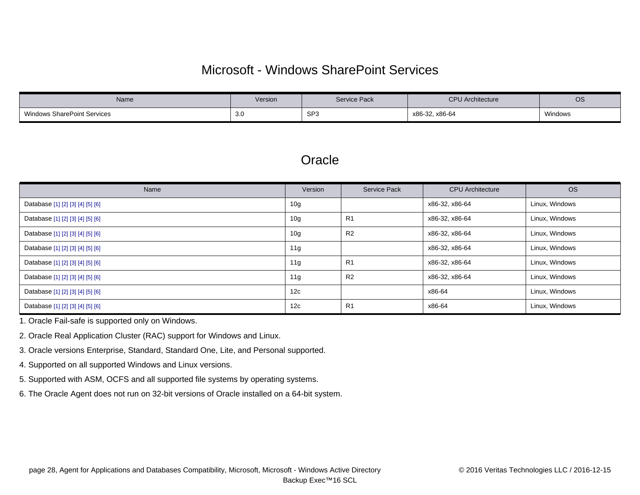## Microsoft - Windows SharePoint Services

| Name                               | Version | Service Pack    | <b>CPU</b> Architecture | OS      |
|------------------------------------|---------|-----------------|-------------------------|---------|
| <b>Windows SharePoint Services</b> | - 3.U   | SP <sub>3</sub> | x86-32, x86-64          | Windows |

### **Oracle**

| Name                             | Version         | <b>Service Pack</b> | <b>CPU</b> Architecture | <b>OS</b>      |
|----------------------------------|-----------------|---------------------|-------------------------|----------------|
| Database [1] [2] [3] [4] [5] [6] | 10g             |                     | x86-32, x86-64          | Linux, Windows |
| Database [1] [2] [3] [4] [5] [6] | 10 <sub>g</sub> | R <sub>1</sub>      | x86-32, x86-64          | Linux, Windows |
| Database [1] [2] [3] [4] [5] [6] | 10 <sub>g</sub> | R <sub>2</sub>      | x86-32, x86-64          | Linux, Windows |
| Database [1] [2] [3] [4] [5] [6] | 11g             |                     | x86-32, x86-64          | Linux, Windows |
| Database [1] [2] [3] [4] [5] [6] | 11g             | R <sub>1</sub>      | x86-32, x86-64          | Linux, Windows |
| Database [1] [2] [3] [4] [5] [6] | 11 <sub>q</sub> | R <sub>2</sub>      | x86-32, x86-64          | Linux, Windows |
| Database [1] [2] [3] [4] [5] [6] | 12c             |                     | x86-64                  | Linux, Windows |
| Database [1] [2] [3] [4] [5] [6] | 12c             | R <sub>1</sub>      | x86-64                  | Linux, Windows |

<span id="page-27-0"></span>1. Oracle Fail-safe is supported only on Windows.

<span id="page-27-1"></span>2. Oracle Real Application Cluster (RAC) support for Windows and Linux.

<span id="page-27-2"></span>3. Oracle versions Enterprise, Standard, Standard One, Lite, and Personal supported.

<span id="page-27-3"></span>4. Supported on all supported Windows and Linux versions.

- <span id="page-27-4"></span>5. Supported with ASM, OCFS and all supported file systems by operating systems.
- <span id="page-27-5"></span>6. The Oracle Agent does not run on 32-bit versions of Oracle installed on a 64-bit system.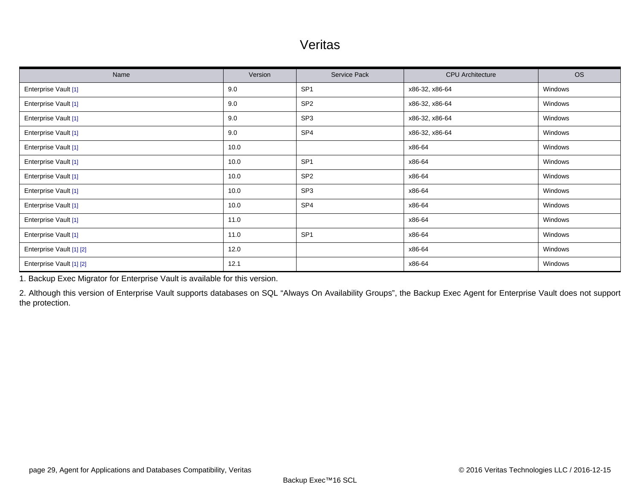### Veritas

| Name                     | Version | Service Pack    | <b>CPU</b> Architecture | <b>OS</b> |
|--------------------------|---------|-----------------|-------------------------|-----------|
| Enterprise Vault [1]     | 9.0     | SP <sub>1</sub> | x86-32, x86-64          | Windows   |
| Enterprise Vault [1]     | 9.0     | SP <sub>2</sub> | x86-32, x86-64          | Windows   |
| Enterprise Vault [1]     | 9.0     | SP <sub>3</sub> | x86-32, x86-64          | Windows   |
| Enterprise Vault [1]     | 9.0     | SP4             | x86-32, x86-64          | Windows   |
| Enterprise Vault [1]     | 10.0    |                 | x86-64                  | Windows   |
| Enterprise Vault [1]     | 10.0    | SP <sub>1</sub> | x86-64                  | Windows   |
| Enterprise Vault [1]     | 10.0    | SP <sub>2</sub> | x86-64                  | Windows   |
| Enterprise Vault [1]     | 10.0    | SP <sub>3</sub> | x86-64                  | Windows   |
| Enterprise Vault [1]     | 10.0    | SP <sub>4</sub> | x86-64                  | Windows   |
| Enterprise Vault [1]     | 11.0    |                 | x86-64                  | Windows   |
| Enterprise Vault [1]     | 11.0    | SP <sub>1</sub> | x86-64                  | Windows   |
| Enterprise Vault [1] [2] | 12.0    |                 | x86-64                  | Windows   |
| Enterprise Vault [1] [2] | 12.1    |                 | x86-64                  | Windows   |

<span id="page-28-0"></span>1. Backup Exec Migrator for Enterprise Vault is available for this version.

<span id="page-28-1"></span>2. Although this version of Enterprise Vault supports databases on SQL "Always On Availability Groups", the Backup Exec Agent for Enterprise Vault does not support the protection.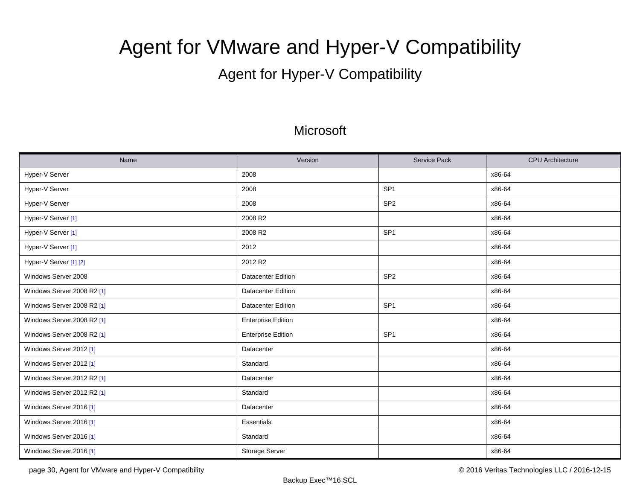# <span id="page-29-0"></span>Agent for VMware and Hyper-V Compatibility

# Agent for Hyper-V Compatibility

### **Microsoft**

| Name                       | Version                   | <b>Service Pack</b> | <b>CPU</b> Architecture |
|----------------------------|---------------------------|---------------------|-------------------------|
| Hyper-V Server             | 2008                      |                     | x86-64                  |
| Hyper-V Server             | 2008                      | SP <sub>1</sub>     | x86-64                  |
| Hyper-V Server             | 2008                      | SP <sub>2</sub>     | x86-64                  |
| Hyper-V Server [1]         | 2008 R2                   |                     | x86-64                  |
| Hyper-V Server [1]         | 2008 R2                   | SP <sub>1</sub>     | x86-64                  |
| Hyper-V Server [1]         | 2012                      |                     | x86-64                  |
| Hyper-V Server [1] [2]     | 2012 R2                   |                     | x86-64                  |
| Windows Server 2008        | <b>Datacenter Edition</b> | SP <sub>2</sub>     | x86-64                  |
| Windows Server 2008 R2 [1] | <b>Datacenter Edition</b> |                     | x86-64                  |
| Windows Server 2008 R2 [1] | <b>Datacenter Edition</b> | SP <sub>1</sub>     | x86-64                  |
| Windows Server 2008 R2 [1] | <b>Enterprise Edition</b> |                     | x86-64                  |
| Windows Server 2008 R2 [1] | <b>Enterprise Edition</b> | SP <sub>1</sub>     | x86-64                  |
| Windows Server 2012 [1]    | Datacenter                |                     | x86-64                  |
| Windows Server 2012 [1]    | Standard                  |                     | x86-64                  |
| Windows Server 2012 R2 [1] | Datacenter                |                     | x86-64                  |
| Windows Server 2012 R2 [1] | Standard                  |                     | x86-64                  |
| Windows Server 2016 [1]    | Datacenter                |                     | x86-64                  |
| Windows Server 2016 [1]    | <b>Essentials</b>         |                     | x86-64                  |
| Windows Server 2016 [1]    | Standard                  |                     | x86-64                  |
| Windows Server 2016 [1]    | Storage Server            |                     | x86-64                  |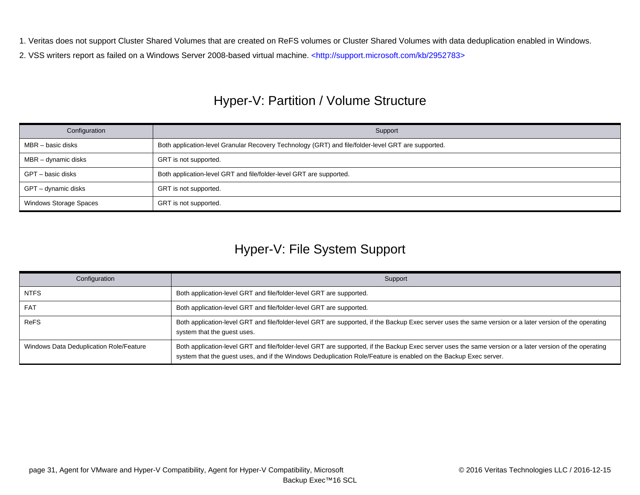<span id="page-30-0"></span>1. Veritas does not support Cluster Shared Volumes that are created on ReFS volumes or Cluster Shared Volumes with data deduplication enabled in Windows.

<span id="page-30-1"></span>2. VSS writers report as failed on a Windows Server 2008-based virtual machine. [<http://support.microsoft.com/kb/2952783>](http://support.microsoft.com/kb/2952783)

# Hyper-V: Partition / Volume Structure

| Configuration          | Support                                                                                            |
|------------------------|----------------------------------------------------------------------------------------------------|
| MBR – basic disks      | Both application-level Granular Recovery Technology (GRT) and file/folder-level GRT are supported. |
| MBR – dynamic disks    | GRT is not supported.                                                                              |
| GPT – basic disks      | Both application-level GRT and file/folder-level GRT are supported.                                |
| GPT – dynamic disks    | GRT is not supported.                                                                              |
| Windows Storage Spaces | GRT is not supported.                                                                              |

# Hyper-V: File System Support

| Configuration                           | Support                                                                                                                                                                                                                                                                    |
|-----------------------------------------|----------------------------------------------------------------------------------------------------------------------------------------------------------------------------------------------------------------------------------------------------------------------------|
| <b>NTFS</b>                             | Both application-level GRT and file/folder-level GRT are supported.                                                                                                                                                                                                        |
| <b>FAT</b>                              | Both application-level GRT and file/folder-level GRT are supported.                                                                                                                                                                                                        |
| <b>ReFS</b>                             | Both application-level GRT and file/folder-level GRT are supported, if the Backup Exec server uses the same version or a later version of the operating<br>system that the guest uses.                                                                                     |
| Windows Data Deduplication Role/Feature | Both application-level GRT and file/folder-level GRT are supported, if the Backup Exec server uses the same version or a later version of the operating<br>system that the guest uses, and if the Windows Deduplication Role/Feature is enabled on the Backup Exec server. |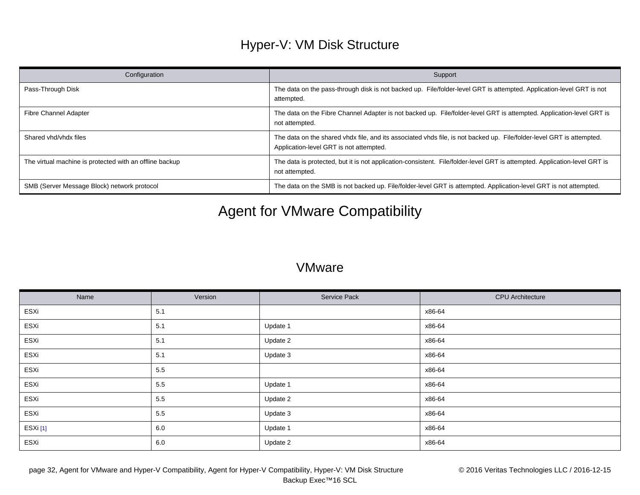# Hyper-V: VM Disk Structure

| Configuration                                           | Support                                                                                                                                                          |
|---------------------------------------------------------|------------------------------------------------------------------------------------------------------------------------------------------------------------------|
| Pass-Through Disk                                       | The data on the pass-through disk is not backed up. File/folder-level GRT is attempted. Application-level GRT is not<br>attempted.                               |
| <b>Fibre Channel Adapter</b>                            | The data on the Fibre Channel Adapter is not backed up. File/folder-level GRT is attempted. Application-level GRT is<br>not attempted.                           |
| Shared vhd/vhdx files                                   | The data on the shared vhdx file, and its associated vhds file, is not backed up. File/folder-level GRT is attempted.<br>Application-level GRT is not attempted. |
| The virtual machine is protected with an offline backup | The data is protected, but it is not application-consistent. File/folder-level GRT is attempted. Application-level GRT is<br>not attempted.                      |
| SMB (Server Message Block) network protocol             | The data on the SMB is not backed up. File/folder-level GRT is attempted. Application-level GRT is not attempted.                                                |

# Agent for VMware Compatibility

### **VMware**

| Name    | Version | Service Pack | <b>CPU</b> Architecture |
|---------|---------|--------------|-------------------------|
| ESXi    | 5.1     |              | x86-64                  |
| ESXi    | 5.1     | Update 1     | x86-64                  |
| ESXi    | 5.1     | Update 2     | x86-64                  |
| ESXi    | 5.1     | Update 3     | x86-64                  |
| ESXi    | 5.5     |              | x86-64                  |
| ESXi    | 5.5     | Update 1     | x86-64                  |
| ESXi    | 5.5     | Update 2     | x86-64                  |
| ESXi    | 5.5     | Update 3     | x86-64                  |
| ESXi[1] | 6.0     | Update 1     | x86-64                  |
| ESXi    | 6.0     | Update 2     | x86-64                  |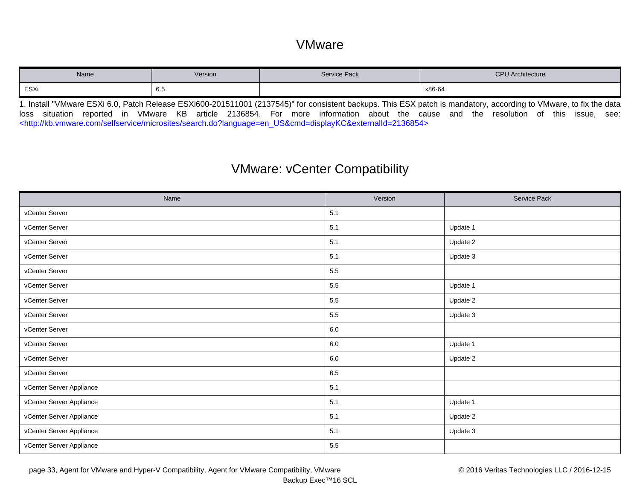### VMware

| Name | Version | Service Pack | CDI<br><b>PU Architecture</b><br>. |
|------|---------|--------------|------------------------------------|
| ESXi | 6.5     |              | x86-64                             |

<span id="page-32-0"></span>1. Install "VMware ESXi 6.0, Patch Release ESXi600-201511001 (2137545)" for consistent backups. This ESX patch is mandatory, according to VMware, to fix the data loss situation reported in VMware KB article 2136854. For more information about the cause and the resolution of this issue, see: [<http://kb.vmware.com/selfservice/microsites/search.do?language=en\\_US&cmd=displayKC&externalId=2136854>](http://kb.vmware.com/selfservice/microsites/search.do?language=en_US&cmd=displayKC&externalId=2136854)

### VMware: vCenter Compatibility

| Name                     | Version | Service Pack |
|--------------------------|---------|--------------|
| vCenter Server           | 5.1     |              |
| vCenter Server           | 5.1     | Update 1     |
| vCenter Server           | 5.1     | Update 2     |
| vCenter Server           | 5.1     | Update 3     |
| vCenter Server           | 5.5     |              |
| vCenter Server           | 5.5     | Update 1     |
| vCenter Server           | 5.5     | Update 2     |
| vCenter Server           | 5.5     | Update 3     |
| vCenter Server           | $6.0\,$ |              |
| vCenter Server           | $6.0\,$ | Update 1     |
| vCenter Server           | 6.0     | Update 2     |
| vCenter Server           | 6.5     |              |
| vCenter Server Appliance | 5.1     |              |
| vCenter Server Appliance | 5.1     | Update 1     |
| vCenter Server Appliance | 5.1     | Update 2     |
| vCenter Server Appliance | 5.1     | Update 3     |
| vCenter Server Appliance | 5.5     |              |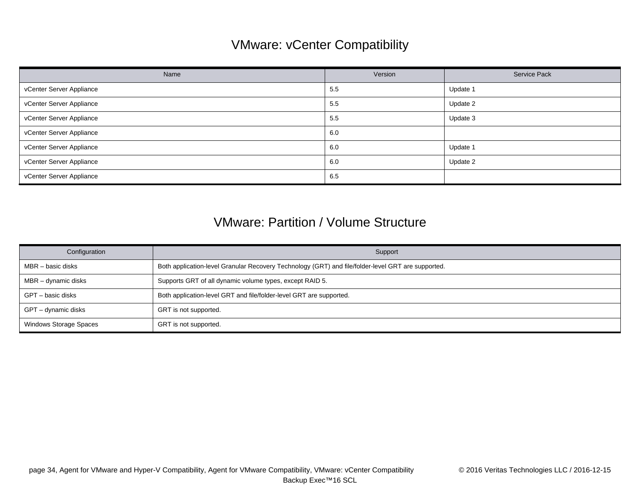# VMware: vCenter Compatibility

| Name                     | Version | Service Pack |
|--------------------------|---------|--------------|
| vCenter Server Appliance | 5.5     | Update 1     |
| vCenter Server Appliance | 5.5     | Update 2     |
| vCenter Server Appliance | 5.5     | Update 3     |
| vCenter Server Appliance | 6.0     |              |
| vCenter Server Appliance | 6.0     | Update 1     |
| vCenter Server Appliance | 6.0     | Update 2     |
| vCenter Server Appliance | 6.5     |              |

### VMware: Partition / Volume Structure

| Configuration                 | Support                                                                                            |
|-------------------------------|----------------------------------------------------------------------------------------------------|
| MBR – basic disks             | Both application-level Granular Recovery Technology (GRT) and file/folder-level GRT are supported. |
| MBR - dynamic disks           | Supports GRT of all dynamic volume types, except RAID 5.                                           |
| GPT – basic disks             | Both application-level GRT and file/folder-level GRT are supported.                                |
| GPT – dynamic disks           | GRT is not supported.                                                                              |
| <b>Windows Storage Spaces</b> | GRT is not supported.                                                                              |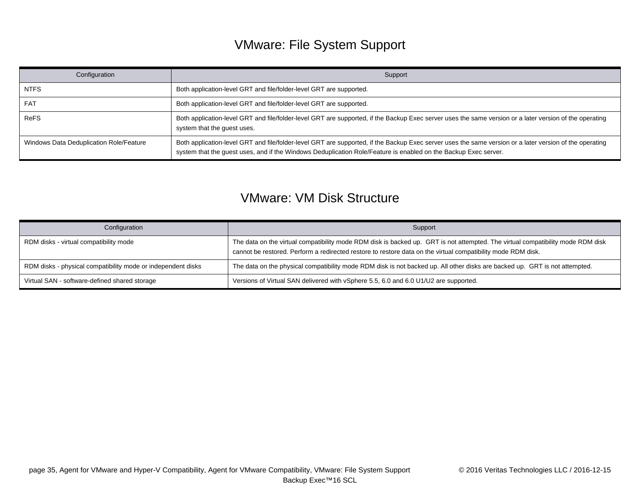# VMware: File System Support

| Configuration                           | Support                                                                                                                                                                                                                                                                    |
|-----------------------------------------|----------------------------------------------------------------------------------------------------------------------------------------------------------------------------------------------------------------------------------------------------------------------------|
| <b>NTFS</b>                             | Both application-level GRT and file/folder-level GRT are supported.                                                                                                                                                                                                        |
| <b>FAT</b>                              | Both application-level GRT and file/folder-level GRT are supported.                                                                                                                                                                                                        |
| ReFS                                    | Both application-level GRT and file/folder-level GRT are supported, if the Backup Exec server uses the same version or a later version of the operating<br>system that the guest uses.                                                                                     |
| Windows Data Deduplication Role/Feature | Both application-level GRT and file/folder-level GRT are supported, if the Backup Exec server uses the same version or a later version of the operating<br>system that the guest uses, and if the Windows Deduplication Role/Feature is enabled on the Backup Exec server. |

### VMware: VM Disk Structure

| Configuration                                                | Support                                                                                                                                                                                                                                         |
|--------------------------------------------------------------|-------------------------------------------------------------------------------------------------------------------------------------------------------------------------------------------------------------------------------------------------|
| RDM disks - virtual compatibility mode                       | The data on the virtual compatibility mode RDM disk is backed up. GRT is not attempted. The virtual compatibility mode RDM disk<br>cannot be restored. Perform a redirected restore to restore data on the virtual compatibility mode RDM disk. |
| RDM disks - physical compatibility mode or independent disks | The data on the physical compatibility mode RDM disk is not backed up. All other disks are backed up. GRT is not attempted.                                                                                                                     |
| Virtual SAN - software-defined shared storage                | Versions of Virtual SAN delivered with vSphere 5.5, 6.0 and 6.0 U1/U2 are supported.                                                                                                                                                            |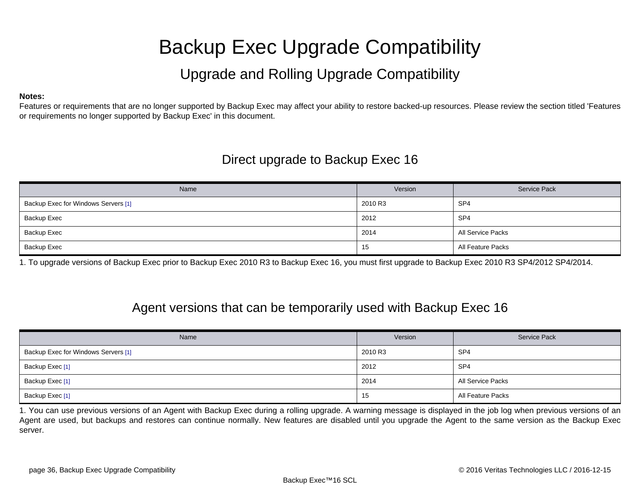# Backup Exec Upgrade Compatibility

# Upgrade and Rolling Upgrade Compatibility

#### <span id="page-35-0"></span>**Notes:**

Features or requirements that are no longer supported by Backup Exec may affect your ability to restore backed-up resources. Please review the section titled 'Features or requirements no longer supported by Backup Exec' in this document.

### Direct upgrade to Backup Exec 16

| Name                                | Version | Service Pack      |
|-------------------------------------|---------|-------------------|
| Backup Exec for Windows Servers [1] | 2010 R3 | SP <sub>4</sub>   |
| Backup Exec                         | 2012    | SP <sub>4</sub>   |
| Backup Exec                         | 2014    | All Service Packs |
| Backup Exec                         | 15      | All Feature Packs |

<span id="page-35-1"></span>1. To upgrade versions of Backup Exec prior to Backup Exec 2010 R3 to Backup Exec 16, you must first upgrade to Backup Exec 2010 R3 SP4/2012 SP4/2014.

### Agent versions that can be temporarily used with Backup Exec 16

| Name                                | Version | <b>Service Pack</b> |
|-------------------------------------|---------|---------------------|
| Backup Exec for Windows Servers [1] | 2010 R3 | SP <sub>4</sub>     |
| Backup Exec <sup>[1]</sup>          | 2012    | SP <sub>4</sub>     |
| Backup Exec <sup>[1]</sup>          | 2014    | All Service Packs   |
| Backup Exec <sup>[1]</sup>          | 15      | All Feature Packs   |

<span id="page-35-2"></span>1. You can use previous versions of an Agent with Backup Exec during a rolling upgrade. A warning message is displayed in the job log when previous versions of an Agent are used, but backups and restores can continue normally. New features are disabled until you upgrade the Agent to the same version as the Backup Exec server.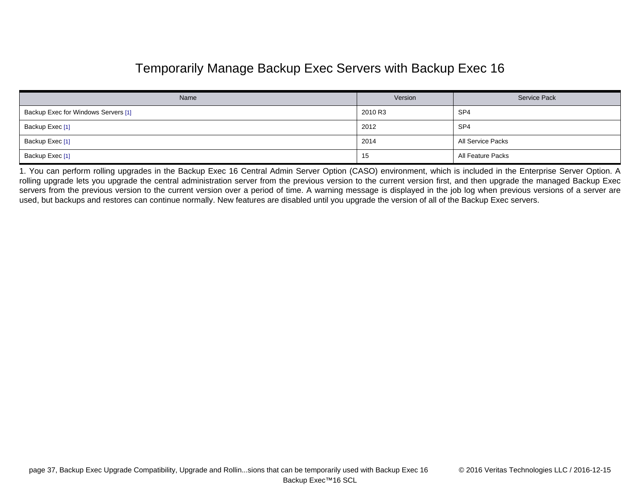## Temporarily Manage Backup Exec Servers with Backup Exec 16

| Name                                | Version | <b>Service Pack</b> |
|-------------------------------------|---------|---------------------|
| Backup Exec for Windows Servers [1] | 2010 R3 | SP <sub>4</sub>     |
| Backup Exec [1]                     | 2012    | SP <sub>4</sub>     |
| Backup Exec [1]                     | 2014    | All Service Packs   |
| Backup Exec [1]                     | 15      | All Feature Packs   |

<span id="page-36-0"></span>1. You can perform rolling upgrades in the Backup Exec 16 Central Admin Server Option (CASO) environment, which is included in the Enterprise Server Option. A rolling upgrade lets you upgrade the central administration server from the previous version to the current version first, and then upgrade the managed Backup Exec servers from the previous version to the current version over a period of time. A warning message is displayed in the job log when previous versions of a server are used, but backups and restores can continue normally. New features are disabled until you upgrade the version of all of the Backup Exec servers.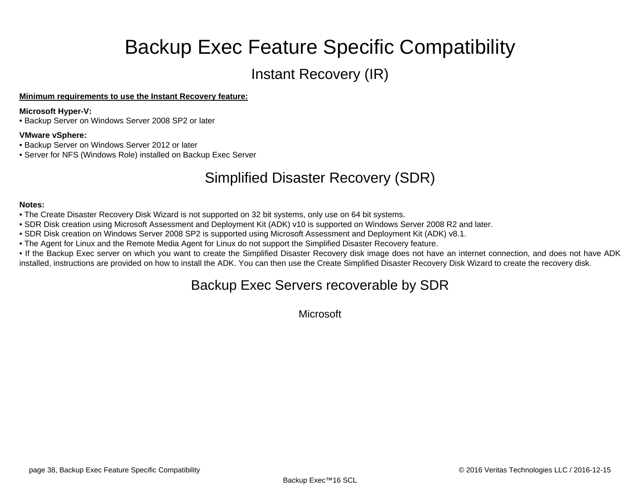# Backup Exec Feature Specific Compatibility

# Instant Recovery (IR)

### <span id="page-37-0"></span>**Minimum requirements to use the Instant Recovery feature:**

### **Microsoft Hyper-V:**

• Backup Server on Windows Server 2008 SP2 or later

### **VMware vSphere:**

- Backup Server on Windows Server 2012 or later
- Server for NFS (Windows Role) installed on Backup Exec Server

# Simplified Disaster Recovery (SDR)

#### **Notes:**

- The Create Disaster Recovery Disk Wizard is not supported on 32 bit systems, only use on 64 bit systems.
- SDR Disk creation using Microsoft Assessment and Deployment Kit (ADK) v10 is supported on Windows Server 2008 R2 and later.
- SDR Disk creation on Windows Server 2008 SP2 is supported using Microsoft Assessment and Deployment Kit (ADK) v8.1.
- The Agent for Linux and the Remote Media Agent for Linux do not support the Simplified Disaster Recovery feature.
- If the Backup Exec server on which you want to create the Simplified Disaster Recovery disk image does not have an internet connection, and does not have ADK installed, instructions are provided on how to install the ADK. You can then use the Create Simplified Disaster Recovery Disk Wizard to create the recovery disk.

### Backup Exec Servers recoverable by SDR

**Microsoft**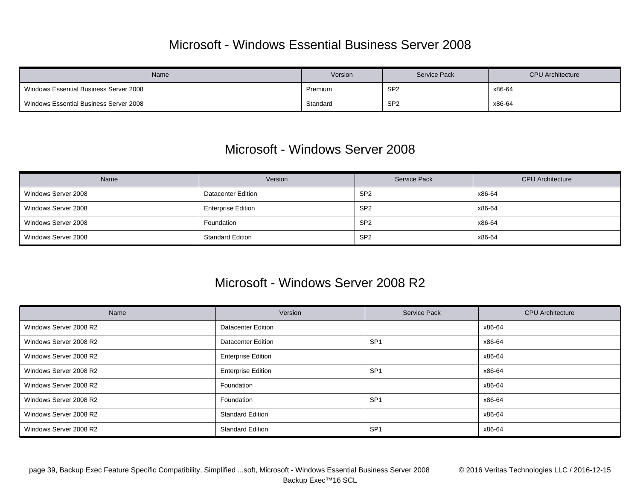### Microsoft - Windows Essential Business Server 2008

| Name                                   | Version  | <b>Service Pack</b> | <b>CPU</b> Architecture |
|----------------------------------------|----------|---------------------|-------------------------|
| Windows Essential Business Server 2008 | Premium  | SP <sub>2</sub>     | x86-64                  |
| Windows Essential Business Server 2008 | Standard | SP <sub>2</sub>     | x86-64                  |

### Microsoft - Windows Server 2008

| Name                | Version                   | Service Pack    | <b>CPU</b> Architecture |
|---------------------|---------------------------|-----------------|-------------------------|
| Windows Server 2008 | <b>Datacenter Edition</b> | SP <sub>2</sub> | x86-64                  |
| Windows Server 2008 | <b>Enterprise Edition</b> | SP <sub>2</sub> | x86-64                  |
| Windows Server 2008 | Foundation                | SP <sub>2</sub> | x86-64                  |
| Windows Server 2008 | <b>Standard Edition</b>   | SP <sub>2</sub> | x86-64                  |

### Microsoft - Windows Server 2008 R2

| Name                   | Version                   | <b>Service Pack</b> | <b>CPU</b> Architecture |
|------------------------|---------------------------|---------------------|-------------------------|
| Windows Server 2008 R2 | <b>Datacenter Edition</b> |                     | x86-64                  |
| Windows Server 2008 R2 | <b>Datacenter Edition</b> | SP <sub>1</sub>     | x86-64                  |
| Windows Server 2008 R2 | <b>Enterprise Edition</b> |                     | x86-64                  |
| Windows Server 2008 R2 | <b>Enterprise Edition</b> | SP <sub>1</sub>     | x86-64                  |
| Windows Server 2008 R2 | Foundation                |                     | x86-64                  |
| Windows Server 2008 R2 | Foundation                | SP <sub>1</sub>     | x86-64                  |
| Windows Server 2008 R2 | <b>Standard Edition</b>   |                     | x86-64                  |
| Windows Server 2008 R2 | <b>Standard Edition</b>   | SP <sub>1</sub>     | x86-64                  |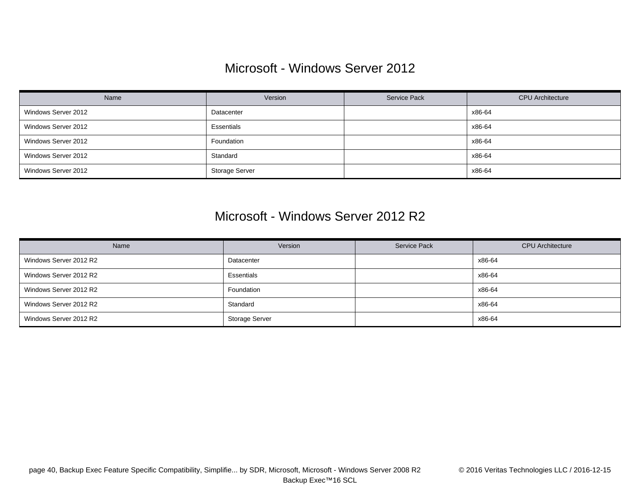## Microsoft - Windows Server 2012

| Name                | Version               | Service Pack | <b>CPU</b> Architecture |
|---------------------|-----------------------|--------------|-------------------------|
| Windows Server 2012 | Datacenter            |              | x86-64                  |
| Windows Server 2012 | Essentials            |              | x86-64                  |
| Windows Server 2012 | Foundation            |              | x86-64                  |
| Windows Server 2012 | Standard              |              | x86-64                  |
| Windows Server 2012 | <b>Storage Server</b> |              | x86-64                  |

### Microsoft - Windows Server 2012 R2

| Name                   | Version               | Service Pack | <b>CPU</b> Architecture |
|------------------------|-----------------------|--------------|-------------------------|
| Windows Server 2012 R2 | Datacenter            |              | x86-64                  |
| Windows Server 2012 R2 | Essentials            |              | x86-64                  |
| Windows Server 2012 R2 | Foundation            |              | x86-64                  |
| Windows Server 2012 R2 | Standard              |              | x86-64                  |
| Windows Server 2012 R2 | <b>Storage Server</b> |              | x86-64                  |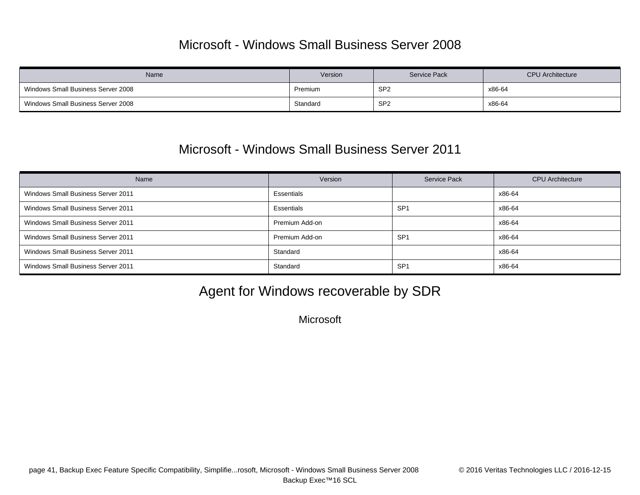## Microsoft - Windows Small Business Server 2008

| Name                               | Version  | Service Pack    | <b>CPU Architecture</b> |
|------------------------------------|----------|-----------------|-------------------------|
| Windows Small Business Server 2008 | Premium  | SP <sub>2</sub> | x86-64                  |
| Windows Small Business Server 2008 | Standard | SP <sub>2</sub> | x86-64                  |

### Microsoft - Windows Small Business Server 2011

| Name                                      | Version        | <b>Service Pack</b> | <b>CPU</b> Architecture |
|-------------------------------------------|----------------|---------------------|-------------------------|
| <b>Windows Small Business Server 2011</b> | Essentials     |                     | x86-64                  |
| <b>Windows Small Business Server 2011</b> | Essentials     | SP <sub>1</sub>     | x86-64                  |
| <b>Windows Small Business Server 2011</b> | Premium Add-on |                     | x86-64                  |
| Windows Small Business Server 2011        | Premium Add-on | SP <sub>1</sub>     | x86-64                  |
| <b>Windows Small Business Server 2011</b> | Standard       |                     | x86-64                  |
| Windows Small Business Server 2011        | Standard       | SP <sub>1</sub>     | x86-64                  |

# Agent for Windows recoverable by SDR

**Microsoft**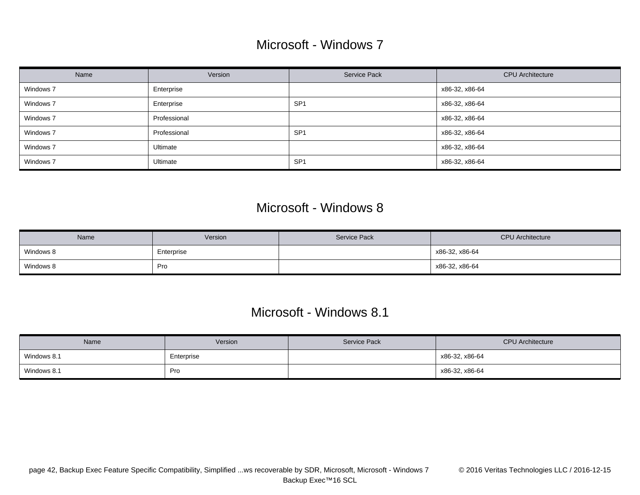## Microsoft - Windows 7

| Name      | Version      | <b>Service Pack</b> | <b>CPU</b> Architecture |
|-----------|--------------|---------------------|-------------------------|
| Windows 7 | Enterprise   |                     | x86-32, x86-64          |
| Windows 7 | Enterprise   | SP <sup>-</sup>     | x86-32, x86-64          |
| Windows 7 | Professional |                     | x86-32, x86-64          |
| Windows 7 | Professional | SP <sup>-</sup>     | x86-32, x86-64          |
| Windows 7 | Ultimate     |                     | x86-32, x86-64          |
| Windows 7 | Ultimate     | SP <sup>-</sup>     | x86-32, x86-64          |

### Microsoft - Windows 8

| Name      | Version    | Service Pack | <b>CPU</b> Architecture |
|-----------|------------|--------------|-------------------------|
| Windows 8 | Enterprise |              | x86-32, x86-64          |
| Windows 8 | Pro        |              | x86-32, x86-64          |

### Microsoft - Windows 8.1

| Name        | Version    | Service Pack | <b>CPU Architecture</b> |
|-------------|------------|--------------|-------------------------|
| Windows 8.1 | Enterprise |              | x86-32, x86-64          |
| Windows 8.1 | Pro        |              | x86-32, x86-64          |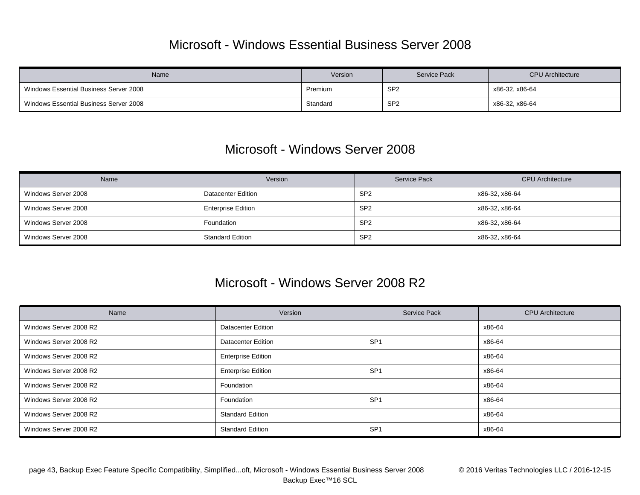## Microsoft - Windows Essential Business Server 2008

| Name                                   | Version  | <b>Service Pack</b> | <b>CPU</b> Architecture |
|----------------------------------------|----------|---------------------|-------------------------|
| Windows Essential Business Server 2008 | Premium  | SP <sub>2</sub>     | x86-32, x86-64          |
| Windows Essential Business Server 2008 | Standard | SP <sub>2</sub>     | x86-32, x86-64          |

### Microsoft - Windows Server 2008

| Name                | Version                   | Service Pack    | <b>CPU</b> Architecture |
|---------------------|---------------------------|-----------------|-------------------------|
| Windows Server 2008 | <b>Datacenter Edition</b> | SP <sub>2</sub> | x86-32, x86-64          |
| Windows Server 2008 | <b>Enterprise Edition</b> | SP <sub>2</sub> | x86-32, x86-64          |
| Windows Server 2008 | Foundation                | SP <sub>2</sub> | x86-32, x86-64          |
| Windows Server 2008 | <b>Standard Edition</b>   | SP <sub>2</sub> | x86-32, x86-64          |

### Microsoft - Windows Server 2008 R2

| Name                   | Version                   | <b>Service Pack</b> | <b>CPU</b> Architecture |
|------------------------|---------------------------|---------------------|-------------------------|
| Windows Server 2008 R2 | <b>Datacenter Edition</b> |                     | x86-64                  |
| Windows Server 2008 R2 | <b>Datacenter Edition</b> | SP <sub>1</sub>     | x86-64                  |
| Windows Server 2008 R2 | <b>Enterprise Edition</b> |                     | x86-64                  |
| Windows Server 2008 R2 | <b>Enterprise Edition</b> | SP <sub>1</sub>     | x86-64                  |
| Windows Server 2008 R2 | Foundation                |                     | x86-64                  |
| Windows Server 2008 R2 | Foundation                | SP <sub>1</sub>     | x86-64                  |
| Windows Server 2008 R2 | <b>Standard Edition</b>   |                     | x86-64                  |
| Windows Server 2008 R2 | <b>Standard Edition</b>   | SP <sub>1</sub>     | x86-64                  |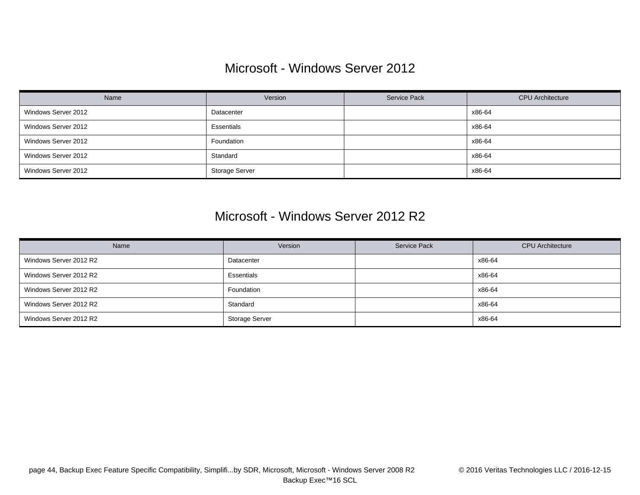## Microsoft - Windows Server 2012

| Name                | Version               | Service Pack | <b>CPU</b> Architecture |
|---------------------|-----------------------|--------------|-------------------------|
| Windows Server 2012 | Datacenter            |              | x86-64                  |
| Windows Server 2012 | Essentials            |              | x86-64                  |
| Windows Server 2012 | Foundation            |              | x86-64                  |
| Windows Server 2012 | Standard              |              | x86-64                  |
| Windows Server 2012 | <b>Storage Server</b> |              | x86-64                  |

### Microsoft - Windows Server 2012 R2

| Name                   | Version               | Service Pack | <b>CPU</b> Architecture |
|------------------------|-----------------------|--------------|-------------------------|
| Windows Server 2012 R2 | Datacenter            |              | x86-64                  |
| Windows Server 2012 R2 | Essentials            |              | x86-64                  |
| Windows Server 2012 R2 | Foundation            |              | x86-64                  |
| Windows Server 2012 R2 | Standard              |              | x86-64                  |
| Windows Server 2012 R2 | <b>Storage Server</b> |              | x86-64                  |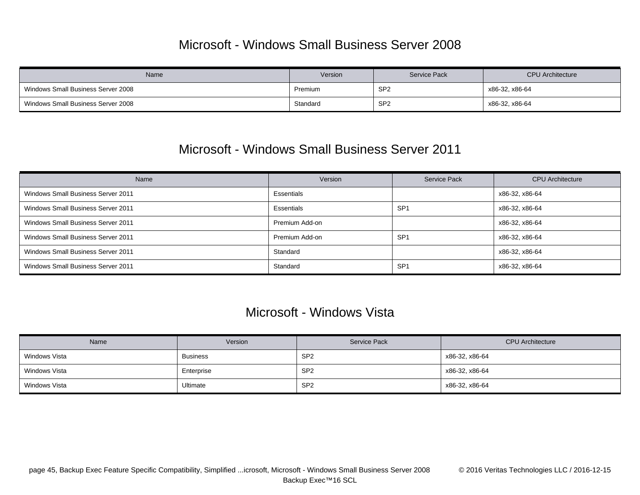## Microsoft - Windows Small Business Server 2008

| Name                               | Version  | Service Pack    | <b>CPU</b> Architecture |
|------------------------------------|----------|-----------------|-------------------------|
| Windows Small Business Server 2008 | Premium  | SP <sub>2</sub> | x86-32, x86-64          |
| Windows Small Business Server 2008 | Standard | SP <sub>2</sub> | x86-32, x86-64          |

### Microsoft - Windows Small Business Server 2011

| Name                                      | Version        | <b>Service Pack</b> | <b>CPU</b> Architecture |
|-------------------------------------------|----------------|---------------------|-------------------------|
| <b>Windows Small Business Server 2011</b> | Essentials     |                     | x86-32, x86-64          |
| <b>Windows Small Business Server 2011</b> | Essentials     | SP <sub>1</sub>     | x86-32, x86-64          |
| Windows Small Business Server 2011        | Premium Add-on |                     | x86-32, x86-64          |
| <b>Windows Small Business Server 2011</b> | Premium Add-on | SP <sub>1</sub>     | x86-32, x86-64          |
| <b>Windows Small Business Server 2011</b> | Standard       |                     | x86-32, x86-64          |
| <b>Windows Small Business Server 2011</b> | Standard       | SP <sub>1</sub>     | x86-32, x86-64          |

### Microsoft - Windows Vista

| Name          | Version         | <b>Service Pack</b> | <b>CPU</b> Architecture |
|---------------|-----------------|---------------------|-------------------------|
| Windows Vista | <b>Business</b> | SP <sub>2</sub>     | x86-32, x86-64          |
| Windows Vista | Enterprise      | SP <sub>2</sub>     | x86-32, x86-64          |
| Windows Vista | Ultimate        | SP <sub>2</sub>     | x86-32, x86-64          |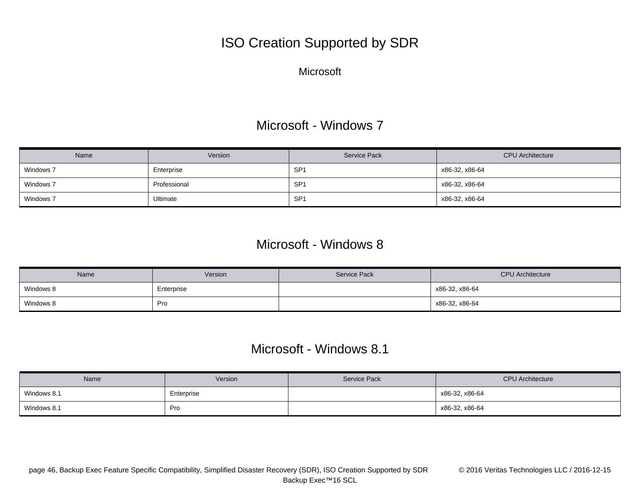# ISO Creation Supported by SDR

**Microsoft** 

## Microsoft - Windows 7

| Name      | Version      | Service Pack    | <b>CPU</b> Architecture |
|-----------|--------------|-----------------|-------------------------|
| Windows 7 | Enterprise   | SP <sub>1</sub> | x86-32, x86-64          |
| Windows 7 | Professional | SP <sub>1</sub> | x86-32, x86-64          |
| Windows 7 | Ultimate     | SP <sub>1</sub> | x86-32, x86-64          |

### Microsoft - Windows 8

| Name      | Version    | Service Pack | <b>CPU Architecture</b> |
|-----------|------------|--------------|-------------------------|
| Windows 8 | Enterprise |              | x86-32, x86-64          |
| Windows 8 | Pro        |              | x86-32, x86-64          |

### Microsoft - Windows 8.1

| Name        | Version    | Service Pack | <b>CPU</b> Architecture |
|-------------|------------|--------------|-------------------------|
| Windows 8.1 | Enterprise |              | x86-32, x86-64          |
| Windows 8.1 | Pro        |              | x86-32, x86-64          |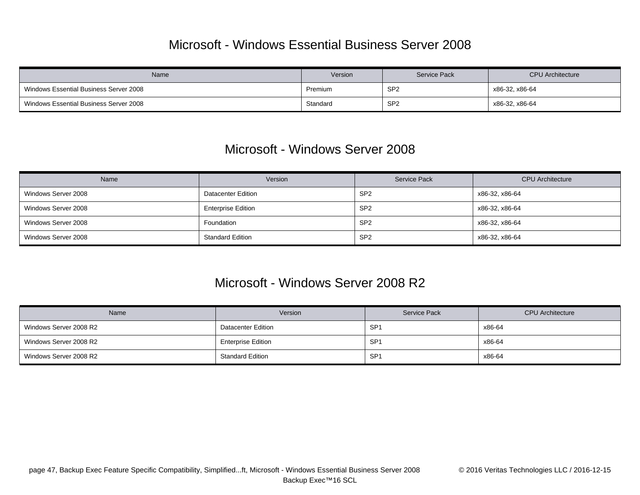### Microsoft - Windows Essential Business Server 2008

| Name                                   | Version  | <b>Service Pack</b> | <b>CPU</b> Architecture |
|----------------------------------------|----------|---------------------|-------------------------|
| Windows Essential Business Server 2008 | Premium  | SP <sub>2</sub>     | x86-32, x86-64          |
| Windows Essential Business Server 2008 | Standard | SP <sub>2</sub>     | x86-32, x86-64          |

### Microsoft - Windows Server 2008

| Name                | Version                   | <b>Service Pack</b> | <b>CPU</b> Architecture |
|---------------------|---------------------------|---------------------|-------------------------|
| Windows Server 2008 | <b>Datacenter Edition</b> | SP <sub>2</sub>     | x86-32, x86-64          |
| Windows Server 2008 | <b>Enterprise Edition</b> | SP <sub>2</sub>     | x86-32, x86-64          |
| Windows Server 2008 | Foundation                | SP <sub>2</sub>     | x86-32, x86-64          |
| Windows Server 2008 | <b>Standard Edition</b>   | SP <sub>2</sub>     | x86-32, x86-64          |

### Microsoft - Windows Server 2008 R2

| <b>Name</b>            | Version                   | Service Pack    | <b>CPU</b> Architecture |
|------------------------|---------------------------|-----------------|-------------------------|
| Windows Server 2008 R2 | <b>Datacenter Edition</b> | SP <sub>1</sub> | x86-64                  |
| Windows Server 2008 R2 | <b>Enterprise Edition</b> | SP <sub>1</sub> | x86-64                  |
| Windows Server 2008 R2 | <b>Standard Edition</b>   | SP <sub>1</sub> | x86-64                  |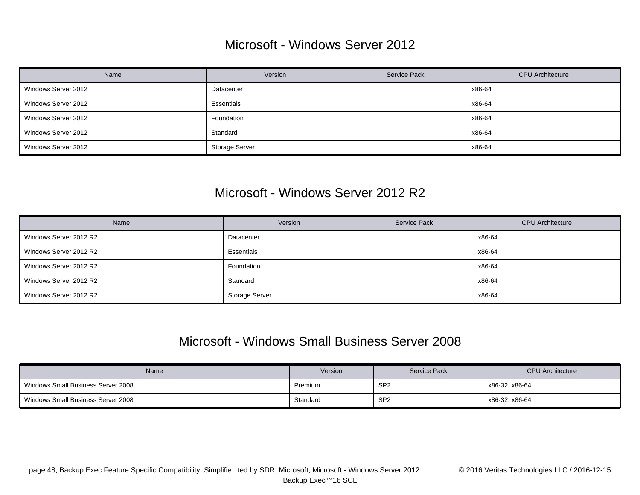### Microsoft - Windows Server 2012

| Name                | Version               | Service Pack | <b>CPU</b> Architecture |
|---------------------|-----------------------|--------------|-------------------------|
| Windows Server 2012 | Datacenter            |              | x86-64                  |
| Windows Server 2012 | Essentials            |              | x86-64                  |
| Windows Server 2012 | Foundation            |              | x86-64                  |
| Windows Server 2012 | Standard              |              | x86-64                  |
| Windows Server 2012 | <b>Storage Server</b> |              | x86-64                  |

### Microsoft - Windows Server 2012 R2

| Name                   | Version               | Service Pack | <b>CPU</b> Architecture |
|------------------------|-----------------------|--------------|-------------------------|
| Windows Server 2012 R2 | Datacenter            |              | x86-64                  |
| Windows Server 2012 R2 | Essentials            |              | x86-64                  |
| Windows Server 2012 R2 | Foundation            |              | x86-64                  |
| Windows Server 2012 R2 | Standard              |              | x86-64                  |
| Windows Server 2012 R2 | <b>Storage Server</b> |              | x86-64                  |

### Microsoft - Windows Small Business Server 2008

| Name                               | Version  | Service Pack    | <b>CPU</b> Architecture |
|------------------------------------|----------|-----------------|-------------------------|
| Windows Small Business Server 2008 | Premium  | SP <sub>2</sub> | x86-32, x86-64          |
| Windows Small Business Server 2008 | Standard | SP <sub>2</sub> | x86-32, x86-64          |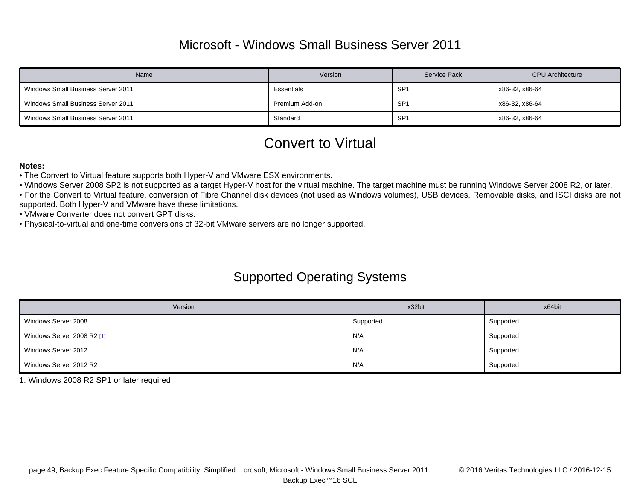## Microsoft - Windows Small Business Server 2011

| Name                               | Version        | <b>Service Pack</b> | <b>CPU</b> Architecture |
|------------------------------------|----------------|---------------------|-------------------------|
| Windows Small Business Server 2011 | Essentials     | SP <sub>1</sub>     | x86-32, x86-64          |
| Windows Small Business Server 2011 | Premium Add-on | SP <sub>1</sub>     | x86-32, x86-64          |
| Windows Small Business Server 2011 | Standard       | SP <sub>1</sub>     | x86-32, x86-64          |

## Convert to Virtual

#### **Notes:**

• The Convert to Virtual feature supports both Hyper-V and VMware ESX environments.

- Windows Server 2008 SP2 is not supported as a target Hyper-V host for the virtual machine. The target machine must be running Windows Server 2008 R2, or later.
- For the Convert to Virtual feature, conversion of Fibre Channel disk devices (not used as Windows volumes), USB devices, Removable disks, and ISCI disks are not supported. Both Hyper-V and VMware have these limitations.

• VMware Converter does not convert GPT disks.

• Physical-to-virtual and one-time conversions of 32-bit VMware servers are no longer supported.

## Supported Operating Systems

| Version                    | x32bit    | x64bit    |
|----------------------------|-----------|-----------|
| Windows Server 2008        | Supported | Supported |
| Windows Server 2008 R2 [1] | N/A       | Supported |
| Windows Server 2012        | N/A       | Supported |
| Windows Server 2012 R2     | N/A       | Supported |

<span id="page-48-0"></span>1. Windows 2008 R2 SP1 or later required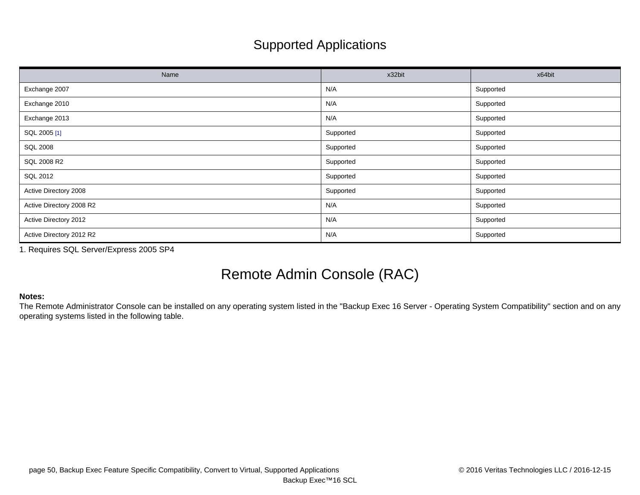# Supported Applications

| Name                     | x32bit    | x64bit    |
|--------------------------|-----------|-----------|
| Exchange 2007            | N/A       | Supported |
| Exchange 2010            | N/A       | Supported |
| Exchange 2013            | N/A       | Supported |
| SQL 2005 [1]             | Supported | Supported |
| <b>SQL 2008</b>          | Supported | Supported |
| SQL 2008 R2              | Supported | Supported |
| SQL 2012                 | Supported | Supported |
| Active Directory 2008    | Supported | Supported |
| Active Directory 2008 R2 | N/A       | Supported |
| Active Directory 2012    | N/A       | Supported |
| Active Directory 2012 R2 | N/A       | Supported |

<span id="page-49-0"></span>1. Requires SQL Server/Express 2005 SP4

# Remote Admin Console (RAC)

### **Notes:**

The Remote Administrator Console can be installed on any operating system listed in the "Backup Exec 16 Server - Operating System Compatibility" section and on any operating systems listed in the following table.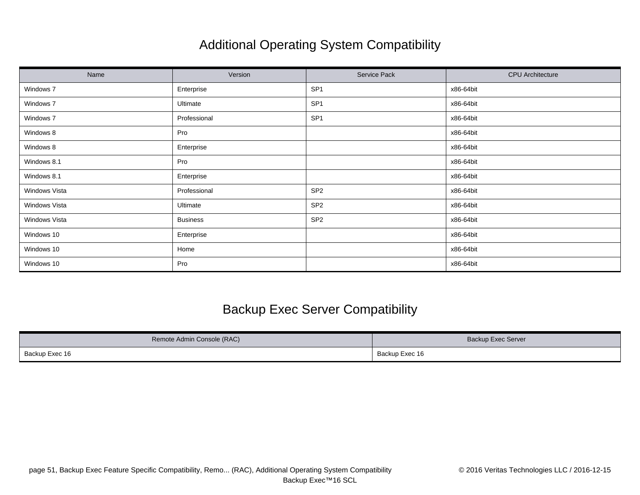# Additional Operating System Compatibility

| Name          | Version         | Service Pack    | <b>CPU</b> Architecture |
|---------------|-----------------|-----------------|-------------------------|
| Windows 7     | Enterprise      | SP <sub>1</sub> | x86-64bit               |
| Windows 7     | Ultimate        | SP <sub>1</sub> | x86-64bit               |
| Windows 7     | Professional    | SP <sub>1</sub> | x86-64bit               |
| Windows 8     | Pro             |                 | x86-64bit               |
| Windows 8     | Enterprise      |                 | x86-64bit               |
| Windows 8.1   | Pro             |                 | x86-64bit               |
| Windows 8.1   | Enterprise      |                 | x86-64bit               |
| Windows Vista | Professional    | SP <sub>2</sub> | x86-64bit               |
| Windows Vista | Ultimate        | SP <sub>2</sub> | x86-64bit               |
| Windows Vista | <b>Business</b> | SP <sub>2</sub> | x86-64bit               |
| Windows 10    | Enterprise      |                 | x86-64bit               |
| Windows 10    | Home            |                 | x86-64bit               |
| Windows 10    | Pro             |                 | x86-64bit               |

## Backup Exec Server Compatibility

| Remote Admin Console (RAC) | Backup Exec Server |
|----------------------------|--------------------|
| Backup Exec 16             | Backup Exec 16     |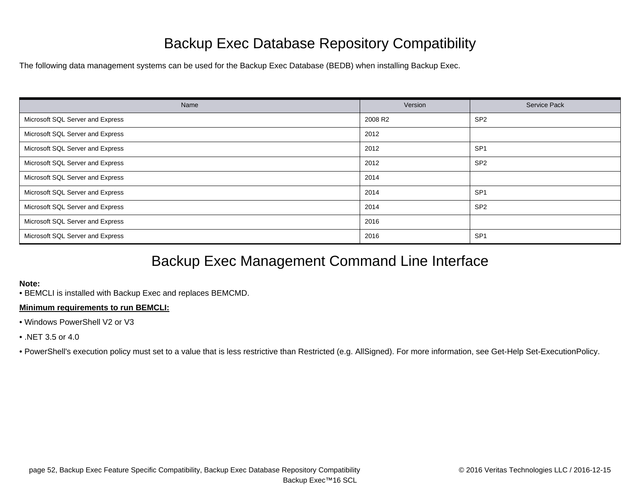# Backup Exec Database Repository Compatibility

The following data management systems can be used for the Backup Exec Database (BEDB) when installing Backup Exec.

| Name                             | Version | <b>Service Pack</b> |
|----------------------------------|---------|---------------------|
| Microsoft SQL Server and Express | 2008 R2 | SP <sub>2</sub>     |
| Microsoft SQL Server and Express | 2012    |                     |
| Microsoft SQL Server and Express | 2012    | SP <sub>1</sub>     |
| Microsoft SQL Server and Express | 2012    | SP <sub>2</sub>     |
| Microsoft SQL Server and Express | 2014    |                     |
| Microsoft SQL Server and Express | 2014    | SP <sub>1</sub>     |
| Microsoft SQL Server and Express | 2014    | SP <sub>2</sub>     |
| Microsoft SQL Server and Express | 2016    |                     |
| Microsoft SQL Server and Express | 2016    | SP <sub>1</sub>     |

# Backup Exec Management Command Line Interface

#### **Note:**

• BEMCLI is installed with Backup Exec and replaces BEMCMD.

### **Minimum requirements to run BEMCLI:**

- Windows PowerShell V2 or V3
- .NET 3.5 or 4.0

• PowerShell's execution policy must set to a value that is less restrictive than Restricted (e.g. AllSigned). For more information, see Get-Help Set-ExecutionPolicy.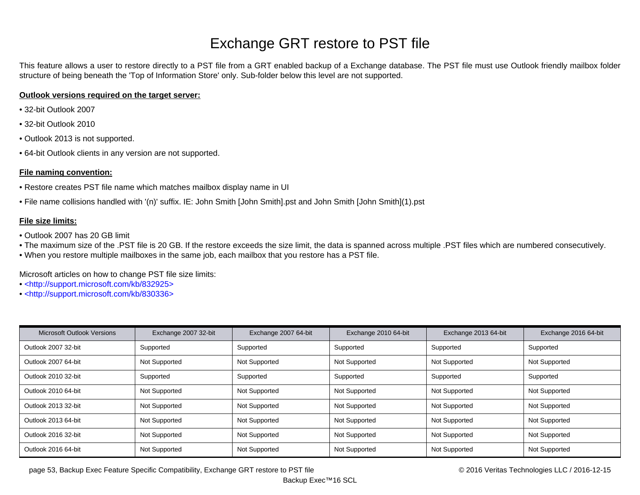# Exchange GRT restore to PST file

This feature allows a user to restore directly to a PST file from a GRT enabled backup of a Exchange database. The PST file must use Outlook friendly mailbox folder structure of being beneath the 'Top of Information Store' only. Sub-folder below this level are not supported.

### **Outlook versions required on the target server:**

- 32-bit Outlook 2007
- 32-bit Outlook 2010
- Outlook 2013 is not supported.
- 64-bit Outlook clients in any version are not supported.

### **File naming convention:**

- Restore creates PST file name which matches mailbox display name in UI
- File name collisions handled with '(n)' suffix. IE: John Smith [John Smith].pst and John Smith [John Smith](1).pst

### **File size limits:**

- Outlook 2007 has 20 GB limit
- The maximum size of the .PST file is 20 GB. If the restore exceeds the size limit, the data is spanned across multiple .PST files which are numbered consecutively.
- When you restore multiple mailboxes in the same job, each mailbox that you restore has a PST file.

Microsoft articles on how to change PST file size limits:

- • [<http://support.microsoft.com/kb/832925>](http://support.microsoft.com/kb/832925)
- • [<http://support.microsoft.com/kb/830336>](http://support.microsoft.com/kb/830336)

| <b>Microsoft Outlook Versions</b> | Exchange 2007 32-bit | Exchange 2007 64-bit | Exchange 2010 64-bit | Exchange 2013 64-bit | Exchange 2016 64-bit |
|-----------------------------------|----------------------|----------------------|----------------------|----------------------|----------------------|
| Outlook 2007 32-bit               | Supported            | Supported            | Supported            | Supported            | Supported            |
| Outlook 2007 64-bit               | Not Supported        | Not Supported        | Not Supported        | Not Supported        | Not Supported        |
| Outlook 2010 32-bit               | Supported            | Supported            | Supported            | Supported            | Supported            |
| Outlook 2010 64-bit               | Not Supported        | Not Supported        | Not Supported        | Not Supported        | Not Supported        |
| Outlook 2013 32-bit               | Not Supported        | Not Supported        | Not Supported        | Not Supported        | Not Supported        |
| Outlook 2013 64-bit               | Not Supported        | Not Supported        | Not Supported        | Not Supported        | Not Supported        |
| Outlook 2016 32-bit               | Not Supported        | Not Supported        | Not Supported        | Not Supported        | Not Supported        |
| Outlook 2016 64-bit               | Not Supported        | Not Supported        | Not Supported        | Not Supported        | Not Supported        |

page 53, Backup Exec Feature Specific Compatibility, Exchange GRT restore to PST file © 2016 Compatibility, Exchange GRT restore to PST file © 2016 Compatibility, exchange GRT restore to PST file © 2016 Compatibility, Exch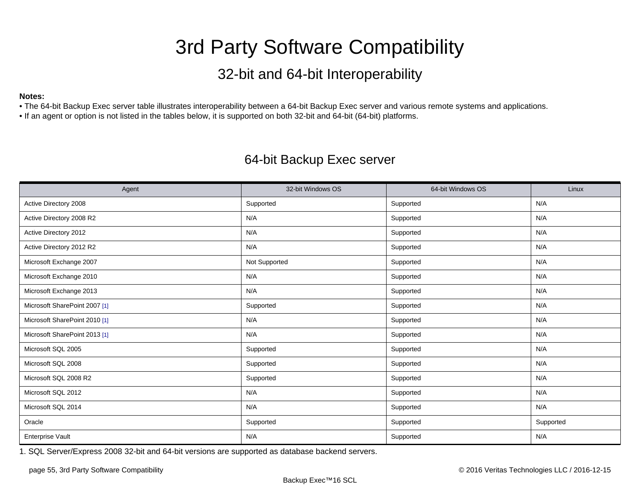# 3rd Party Software Compatibility

# 32-bit and 64-bit Interoperability

### <span id="page-54-0"></span>**Notes:**

• The 64-bit Backup Exec server table illustrates interoperability between a 64-bit Backup Exec server and various remote systems and applications.

• If an agent or option is not listed in the tables below, it is supported on both 32-bit and 64-bit (64-bit) platforms.

## 64-bit Backup Exec server

| Agent                         | 32-bit Windows OS | 64-bit Windows OS | Linux     |
|-------------------------------|-------------------|-------------------|-----------|
| Active Directory 2008         | Supported         | Supported         | N/A       |
| Active Directory 2008 R2      | N/A               | Supported         | N/A       |
| Active Directory 2012         | N/A               | Supported         | N/A       |
| Active Directory 2012 R2      | N/A               | Supported         | N/A       |
| Microsoft Exchange 2007       | Not Supported     | Supported         | N/A       |
| Microsoft Exchange 2010       | N/A               | Supported         | N/A       |
| Microsoft Exchange 2013       | N/A               | Supported         | N/A       |
| Microsoft SharePoint 2007 [1] | Supported         | Supported         | N/A       |
| Microsoft SharePoint 2010 [1] | N/A               | Supported         | N/A       |
| Microsoft SharePoint 2013 [1] | N/A               | Supported         | N/A       |
| Microsoft SQL 2005            | Supported         | Supported         | N/A       |
| Microsoft SQL 2008            | Supported         | Supported         | N/A       |
| Microsoft SQL 2008 R2         | Supported         | Supported         | N/A       |
| Microsoft SQL 2012            | N/A               | Supported         | N/A       |
| Microsoft SQL 2014            | N/A               | Supported         | N/A       |
| Oracle                        | Supported         | Supported         | Supported |
| <b>Enterprise Vault</b>       | N/A               | Supported         | N/A       |

<span id="page-54-1"></span>1. SQL Server/Express 2008 32-bit and 64-bit versions are supported as database backend servers.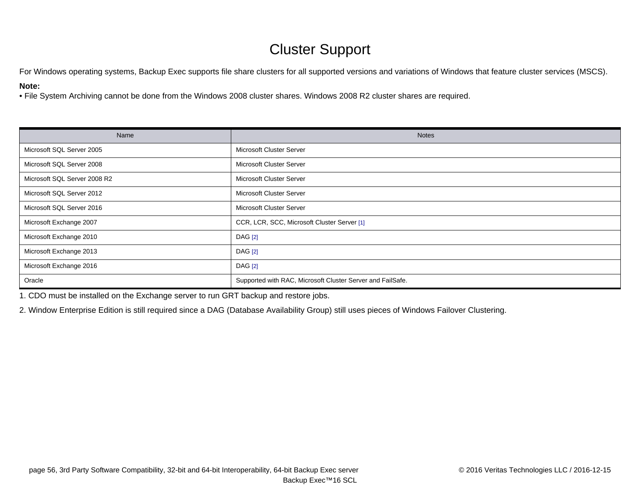# Cluster Support

For Windows operating systems, Backup Exec supports file share clusters for all supported versions and variations of Windows that feature cluster services (MSCS).

### **Note:**

• File System Archiving cannot be done from the Windows 2008 cluster shares. Windows 2008 R2 cluster shares are required.

| Name                         | <b>Notes</b>                                               |
|------------------------------|------------------------------------------------------------|
| Microsoft SQL Server 2005    | Microsoft Cluster Server                                   |
| Microsoft SQL Server 2008    | Microsoft Cluster Server                                   |
| Microsoft SQL Server 2008 R2 | Microsoft Cluster Server                                   |
| Microsoft SQL Server 2012    | Microsoft Cluster Server                                   |
| Microsoft SQL Server 2016    | Microsoft Cluster Server                                   |
| Microsoft Exchange 2007      | CCR, LCR, SCC, Microsoft Cluster Server [1]                |
| Microsoft Exchange 2010      | <b>DAG</b> [2]                                             |
| Microsoft Exchange 2013      | <b>DAG</b> [2]                                             |
| Microsoft Exchange 2016      | <b>DAG</b> [2]                                             |
| Oracle                       | Supported with RAC, Microsoft Cluster Server and FailSafe. |

<span id="page-55-0"></span>1. CDO must be installed on the Exchange server to run GRT backup and restore jobs.

<span id="page-55-1"></span>2. Window Enterprise Edition is still required since a DAG (Database Availability Group) still uses pieces of Windows Failover Clustering.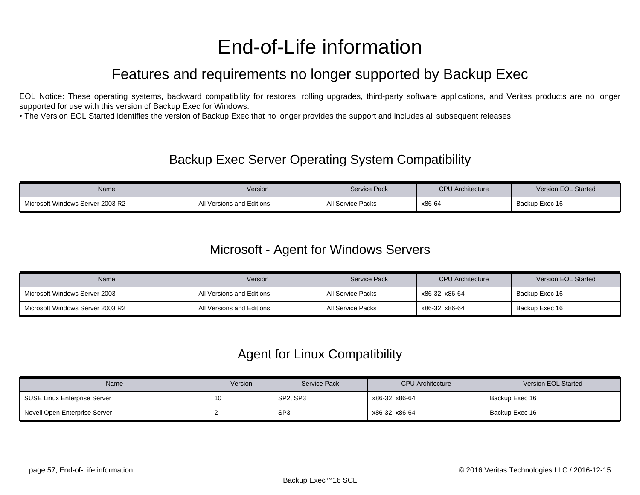# End-of-Life information

# Features and requirements no longer supported by Backup Exec

<span id="page-56-0"></span>EOL Notice: These operating systems, backward compatibility for restores, rolling upgrades, third-party software applications, and Veritas products are no longer supported for use with this version of Backup Exec for Windows.

• The Version EOL Started identifies the version of Backup Exec that no longer provides the support and includes all subsequent releases.

### Backup Exec Server Operating System Compatibility

| Name                             | Version                   | <b>Service Pack</b> | <b>CPU Architecture</b> | <b>Version EOL Started</b> |
|----------------------------------|---------------------------|---------------------|-------------------------|----------------------------|
| Microsoft Windows Server 2003 R2 | All Versions and Editions | All Service Packs   | x86-64                  | Backup Exec 16             |

### Microsoft - Agent for Windows Servers

| <b>Name</b>                      | Version                   | <b>Service Pack</b> | <b>CPU</b> Architecture | Version EOL Started |
|----------------------------------|---------------------------|---------------------|-------------------------|---------------------|
| Microsoft Windows Server 2003    | All Versions and Editions | All Service Packs   | x86-32, x86-64          | Backup Exec 16      |
| Microsoft Windows Server 2003 R2 | All Versions and Editions | All Service Packs   | x86-32. x86-64          | Backup Exec 16      |

### Agent for Linux Compatibility

| Name                          | Version | <b>Service Pack</b> | <b>CPU</b> Architecture | Version EOL Started |
|-------------------------------|---------|---------------------|-------------------------|---------------------|
| SUSE Linux Enterprise Server  | 10      | SP2, SP3            | x86-32, x86-64          | Backup Exec 16      |
| Novell Open Enterprise Server |         | SP <sub>3</sub>     | x86-32, x86-64          | Backup Exec 16      |